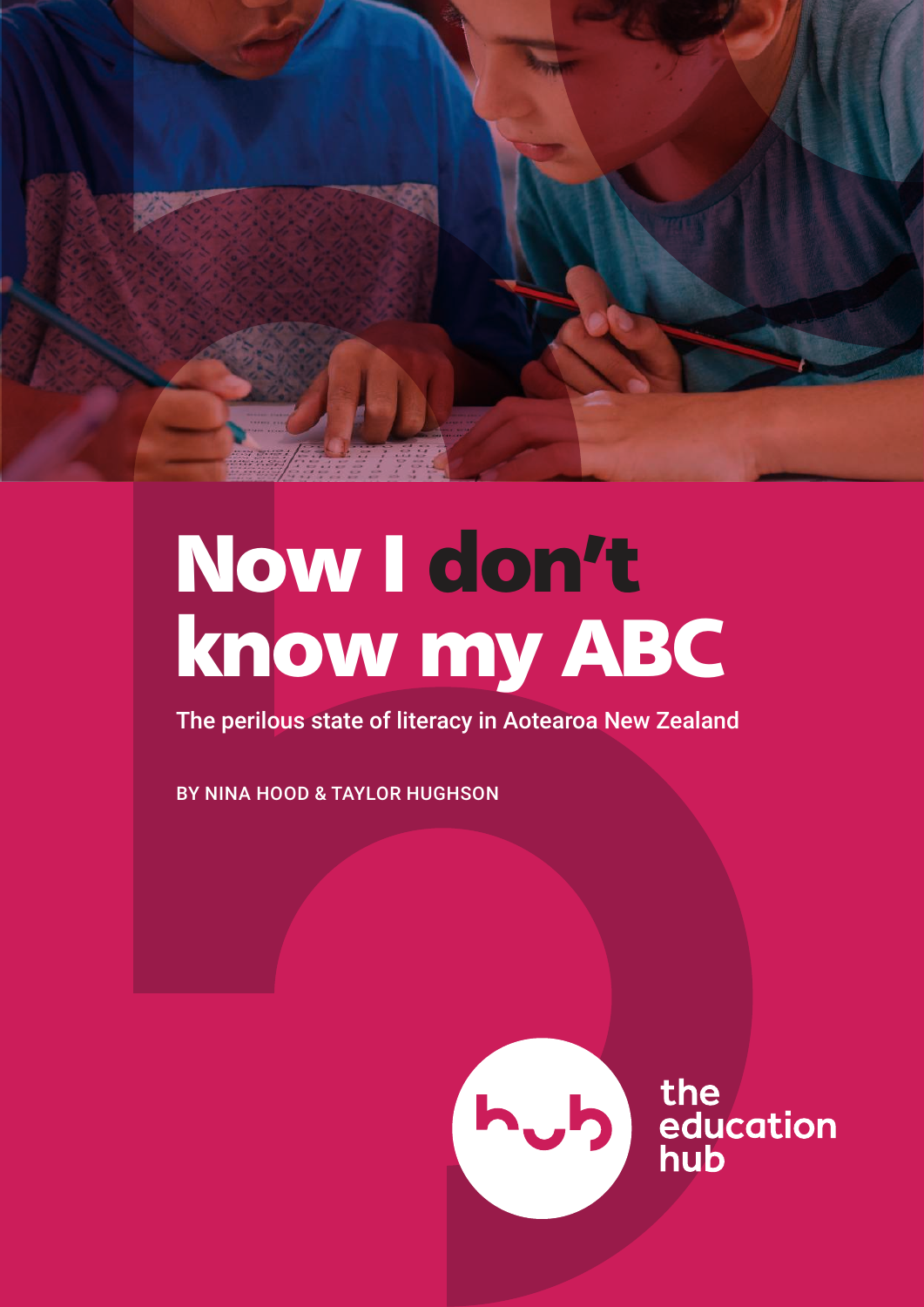

# Now I don't know my ABC

The perilous state of literacy in Aotearoa New Zealand

BY NINA HOOD & TAYLOR HUGHSON



the<br>education<br>hub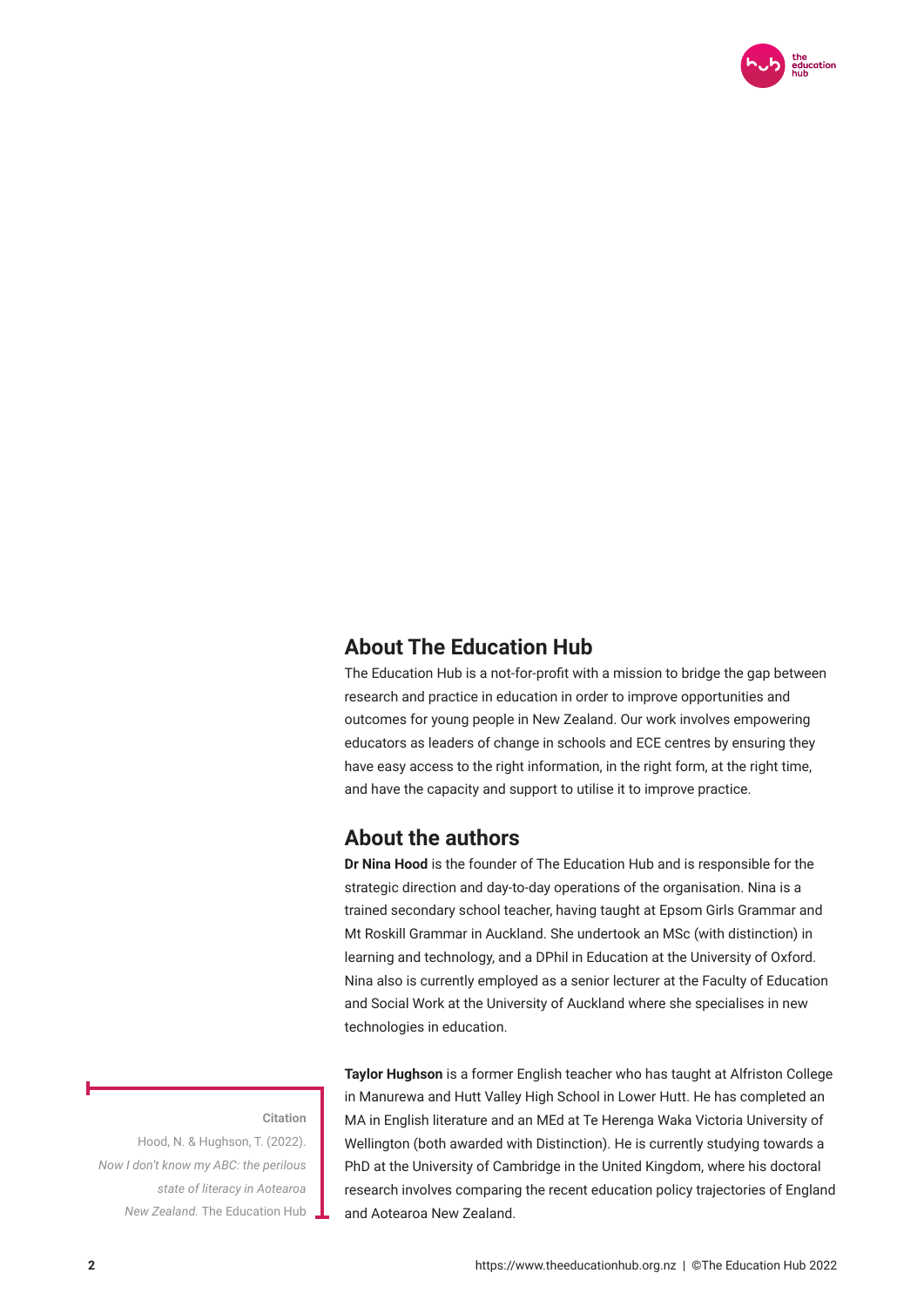

#### **About The Education Hub**

The Education Hub is a not-for-profit with a mission to bridge the gap between research and practice in education in order to improve opportunities and outcomes for young people in New Zealand. Our work involves empowering educators as leaders of change in schools and ECE centres by ensuring they have easy access to the right information, in the right form, at the right time, and have the capacity and support to utilise it to improve practice.

#### **About the authors**

**Dr Nina Hood** is the founder of The Education Hub and is responsible for the strategic direction and day-to-day operations of the organisation. Nina is a trained secondary school teacher, having taught at Epsom Girls Grammar and Mt Roskill Grammar in Auckland. She undertook an MSc (with distinction) in learning and technology, and a DPhil in Education at the University of Oxford. Nina also is currently employed as a senior lecturer at the Faculty of Education and Social Work at the University of Auckland where she specialises in new technologies in education.

**Taylor Hughson** is a former English teacher who has taught at Alfriston College in Manurewa and Hutt Valley High School in Lower Hutt. He has completed an MA in English literature and an MEd at Te Herenga Waka Victoria University of Wellington (both awarded with Distinction). He is currently studying towards a PhD at the University of Cambridge in the United Kingdom, where his doctoral research involves comparing the recent education policy trajectories of England and Aotearoa New Zealand.

#### **Citation**

Hood, N. & Hughson, T. (2022). *Now I don't know my ABC: the perilous state of literacy in Aotearoa New Zealand.* The Education Hub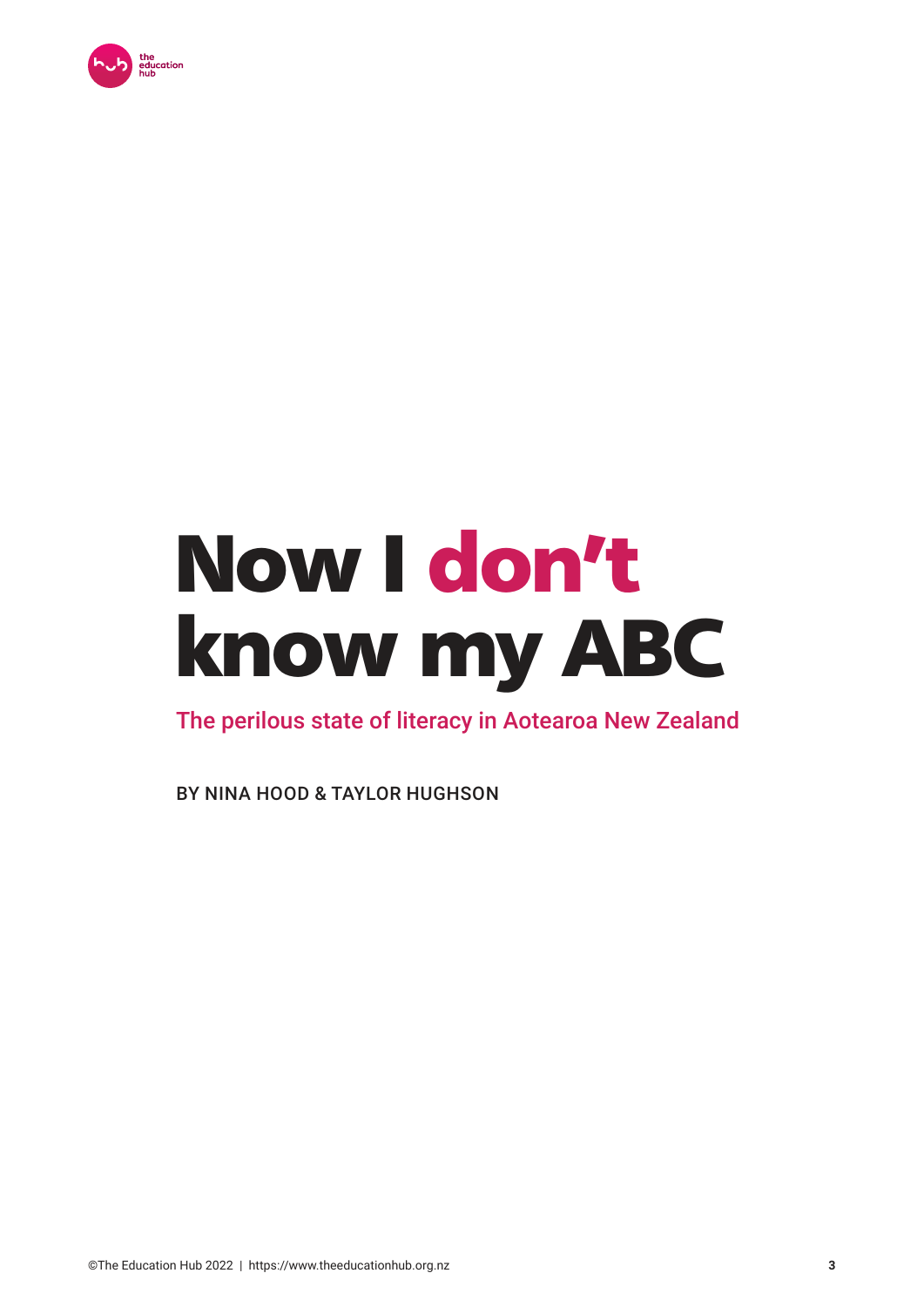

# Now I don't know my ABC

The perilous state of literacy in Aotearoa New Zealand

BY NINA HOOD & TAYLOR HUGHSON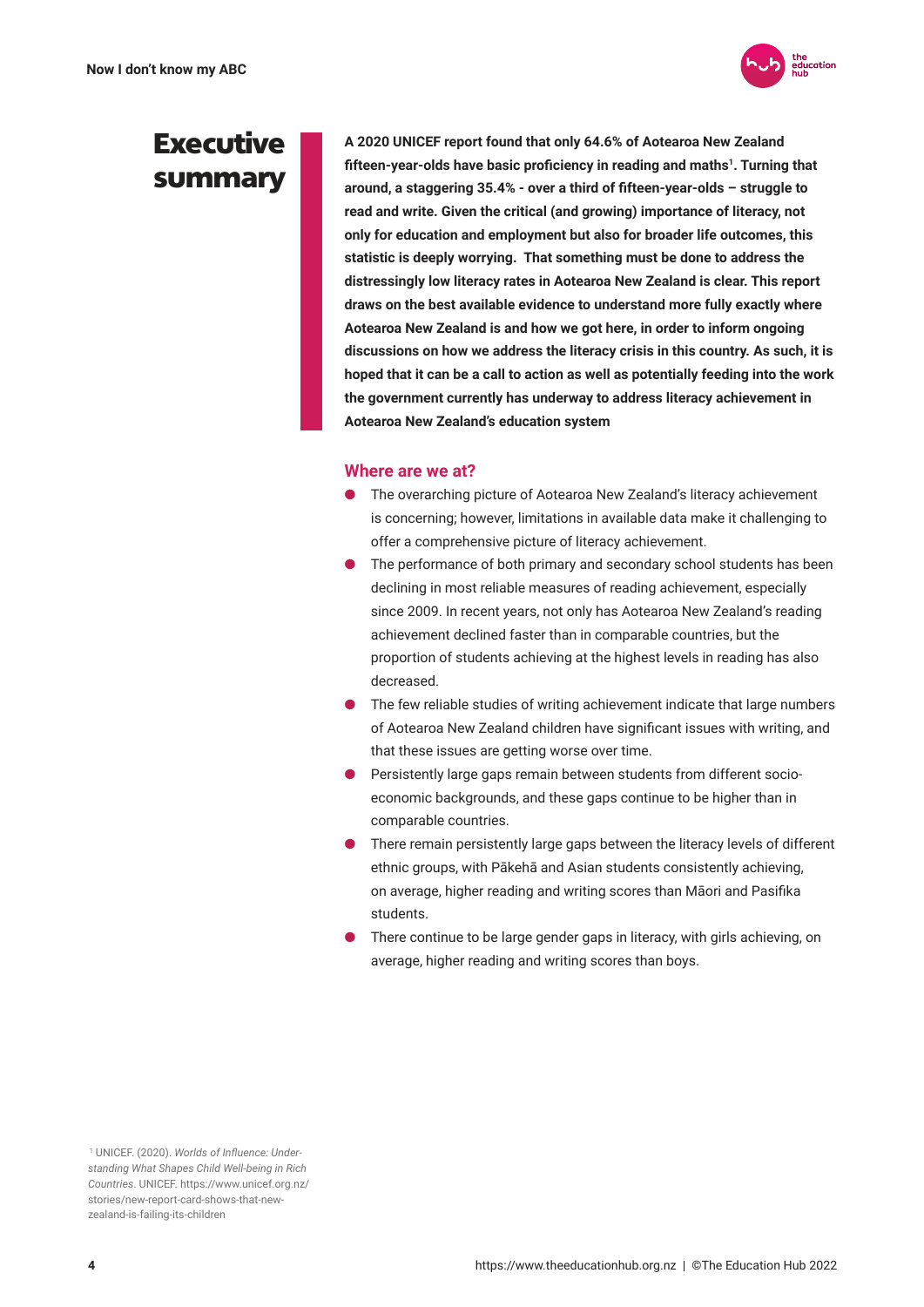

#### **Executive** summary

**A 2020 UNICEF report found that only 64.6% of Aotearoa New Zealand fifteen-year-olds have basic proficiency in reading and maths<sup>1</sup> . Turning that around, a staggering 35.4% - over a third of fifteen-year-olds – struggle to read and write. Given the critical (and growing) importance of literacy, not only for education and employment but also for broader life outcomes, this statistic is deeply worrying. That something must be done to address the distressingly low literacy rates in Aotearoa New Zealand is clear. This report draws on the best available evidence to understand more fully exactly where Aotearoa New Zealand is and how we got here, in order to inform ongoing discussions on how we address the literacy crisis in this country. As such, it is hoped that it can be a call to action as well as potentially feeding into the work the government currently has underway to address literacy achievement in Aotearoa New Zealand's education system**

#### **Where are we at?**

- **IDED The overarching picture of Aotearoa New Zealand's literacy achievement** is concerning; however, limitations in available data make it challenging to offer a comprehensive picture of literacy achievement.
- **The performance of both primary and secondary school students has been** declining in most reliable measures of reading achievement, especially since 2009. In recent years, not only has Aotearoa New Zealand's reading achievement declined faster than in comparable countries, but the proportion of students achieving at the highest levels in reading has also decreased.
- $\bullet$  The few reliable studies of writing achievement indicate that large numbers of Aotearoa New Zealand children have significant issues with writing, and that these issues are getting worse over time.
- **•** Persistently large gaps remain between students from different socioeconomic backgrounds, and these gaps continue to be higher than in comparable countries.
- $\bullet$  There remain persistently large gaps between the literacy levels of different ethnic groups, with Pākehā and Asian students consistently achieving, on average, higher reading and writing scores than Māori and Pasifika students.
- There continue to be large gender gaps in literacy, with girls achieving, on average, higher reading and writing scores than boys.

 <sup>1</sup> UNICEF. (2020). *Worlds of Influence: Understanding What Shapes Child Well-being in Rich Countries*. UNICEF. [https://www.unicef.org.nz/](https://www.unicef.org.nz/stories/new-report-card-shows-that-new-) [stories/new-report-card-shows-that-new](https://www.unicef.org.nz/stories/new-report-card-shows-that-new-)zealand-is-failing-its-children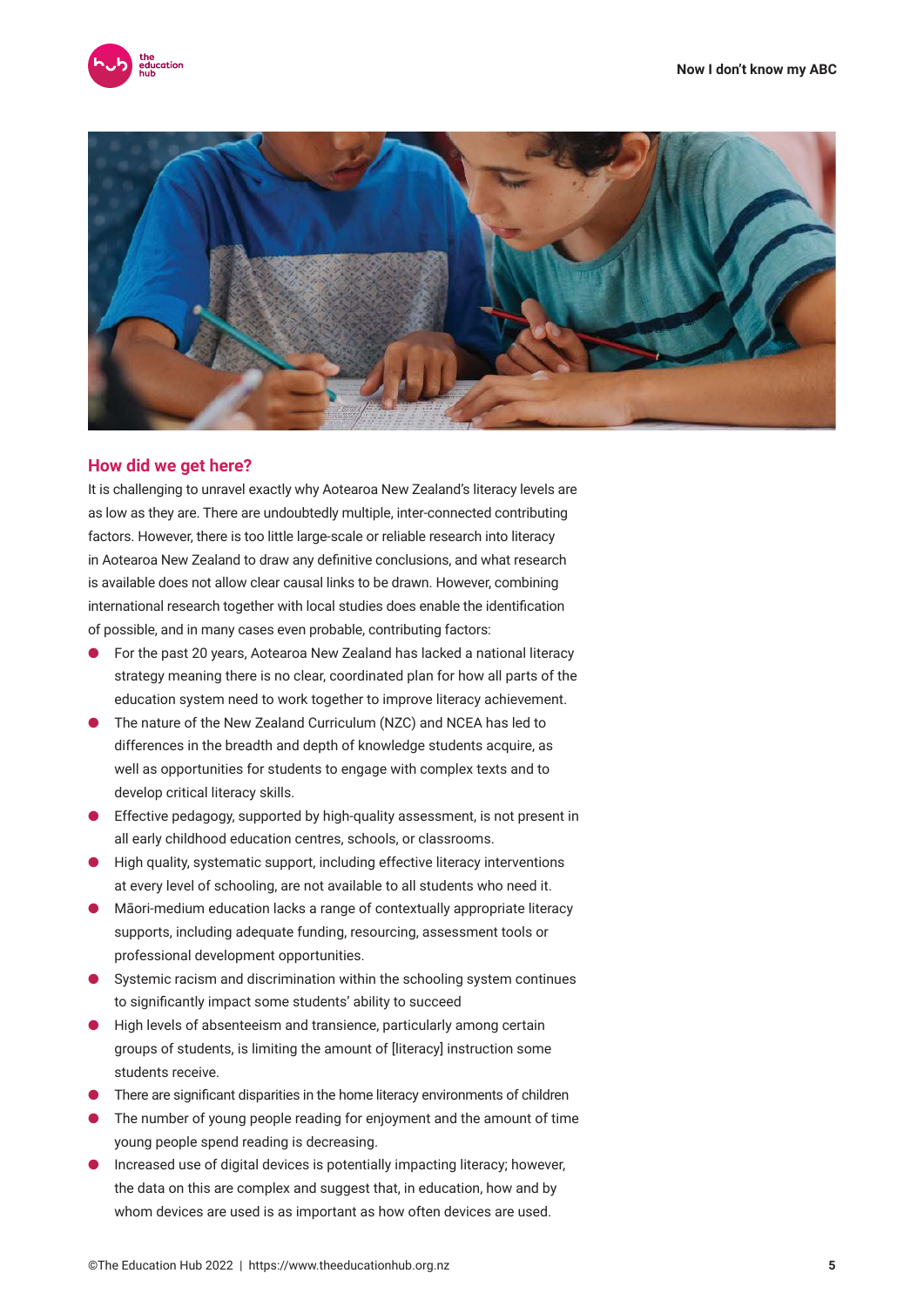



#### **How did we get here?**

It is challenging to unravel exactly why Aotearoa New Zealand's literacy levels are as low as they are. There are undoubtedly multiple, inter-connected contributing factors. However, there is too little large-scale or reliable research into literacy in Aotearoa New Zealand to draw any definitive conclusions, and what research is available does not allow clear causal links to be drawn. However, combining international research together with local studies does enable the identification of possible, and in many cases even probable, contributing factors:

- **•** For the past 20 years, Aotearoa New Zealand has lacked a national literacy strategy meaning there is no clear, coordinated plan for how all parts of the education system need to work together to improve literacy achievement.
- **IDUM** The nature of the New Zealand Curriculum (NZC) and NCEA has led to differences in the breadth and depth of knowledge students acquire, as well as opportunities for students to engage with complex texts and to develop critical literacy skills.
- $\bullet$  Effective pedagogy, supported by high-quality assessment, is not present in all early childhood education centres, schools, or classrooms.
- $\bullet$  High quality, systematic support, including effective literacy interventions at every level of schooling, are not available to all students who need it.
- Māori-medium education lacks a range of contextually appropriate literacy supports, including adequate funding, resourcing, assessment tools or professional development opportunities.
- $\bullet$  Systemic racism and discrimination within the schooling system continues to significantly impact some students' ability to succeed
- $\bullet$  High levels of absenteeism and transience, particularly among certain groups of students, is limiting the amount of [literacy] instruction some students receive.
- There are significant disparities in the home literacy environments of children
- The number of young people reading for enjoyment and the amount of time young people spend reading is decreasing.
- Increased use of digital devices is potentially impacting literacy; however, the data on this are complex and suggest that, in education, how and by whom devices are used is as important as how often devices are used.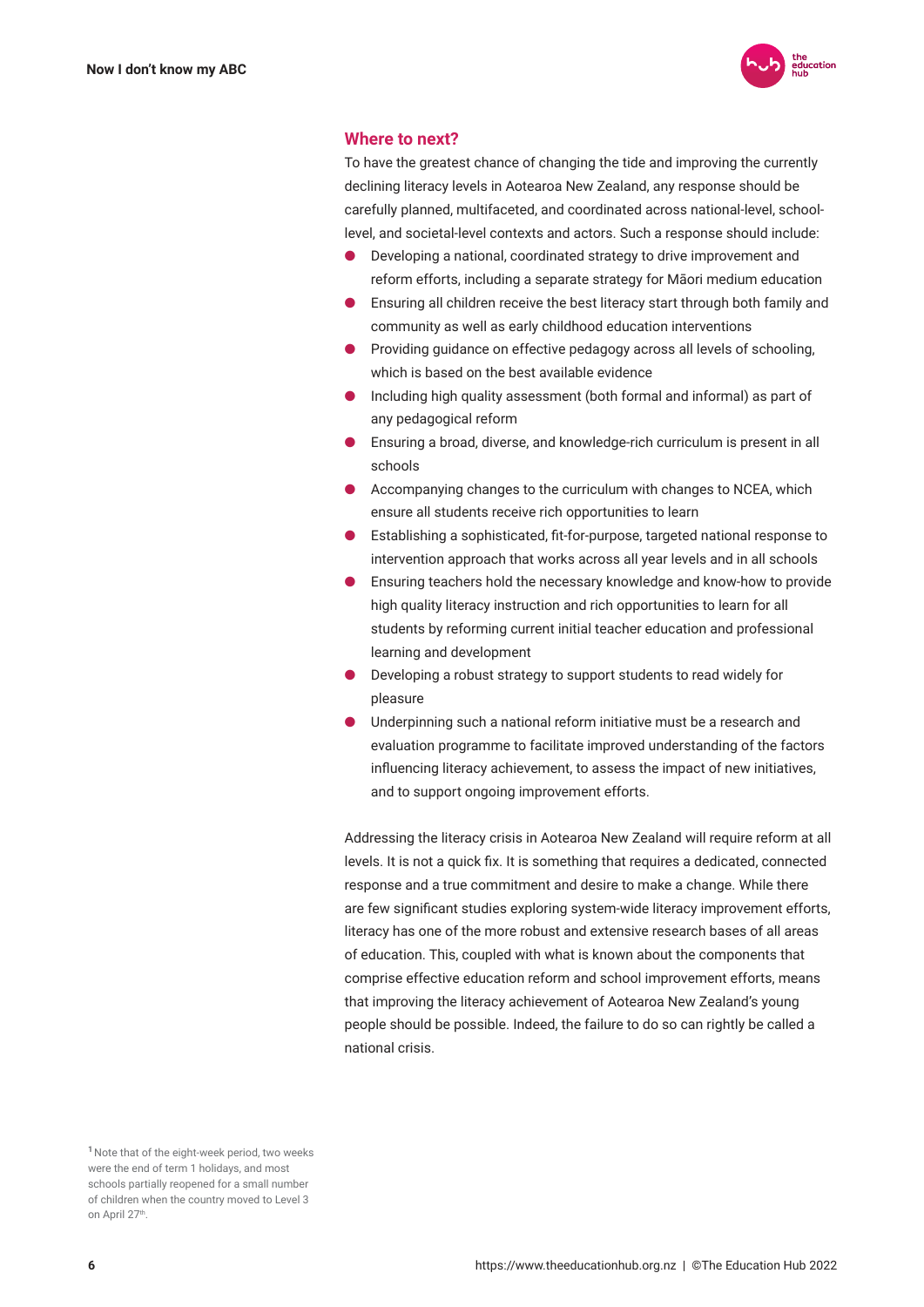

#### **Where to next?**

To have the greatest chance of changing the tide and improving the currently declining literacy levels in Aotearoa New Zealand, any response should be carefully planned, multifaceted, and coordinated across national-level, schoollevel, and societal-level contexts and actors. Such a response should include:

- Developing a national, coordinated strategy to drive improvement and reform efforts, including a separate strategy for Māori medium education
- **e** Ensuring all children receive the best literacy start through both family and community as well as early childhood education interventions
- **•** Providing guidance on effective pedagogy across all levels of schooling, which is based on the best available evidence
- Including high quality assessment (both formal and informal) as part of any pedagogical reform
- **e** Ensuring a broad, diverse, and knowledge-rich curriculum is present in all schools
- $\bullet$  Accompanying changes to the curriculum with changes to NCEA, which ensure all students receive rich opportunities to learn
- Establishing a sophisticated, fit-for-purpose, targeted national response to intervention approach that works across all year levels and in all schools
- **e** Ensuring teachers hold the necessary knowledge and know-how to provide high quality literacy instruction and rich opportunities to learn for all students by reforming current initial teacher education and professional learning and development
- Developing a robust strategy to support students to read widely for pleasure
- **I** Underpinning such a national reform initiative must be a research and evaluation programme to facilitate improved understanding of the factors influencing literacy achievement, to assess the impact of new initiatives, and to support ongoing improvement efforts.

Addressing the literacy crisis in Aotearoa New Zealand will require reform at all levels. It is not a quick fix. It is something that requires a dedicated, connected response and a true commitment and desire to make a change. While there are few significant studies exploring system-wide literacy improvement efforts, literacy has one of the more robust and extensive research bases of all areas of education. This, coupled with what is known about the components that comprise effective education reform and school improvement efforts, means that improving the literacy achievement of Aotearoa New Zealand's young people should be possible. Indeed, the failure to do so can rightly be called a national crisis.

**<sup>1</sup>** Note that of the eight-week period, two weeks were the end of term 1 holidays, and most schools partially reopened for a small number of children when the country moved to Level 3 on April 27th .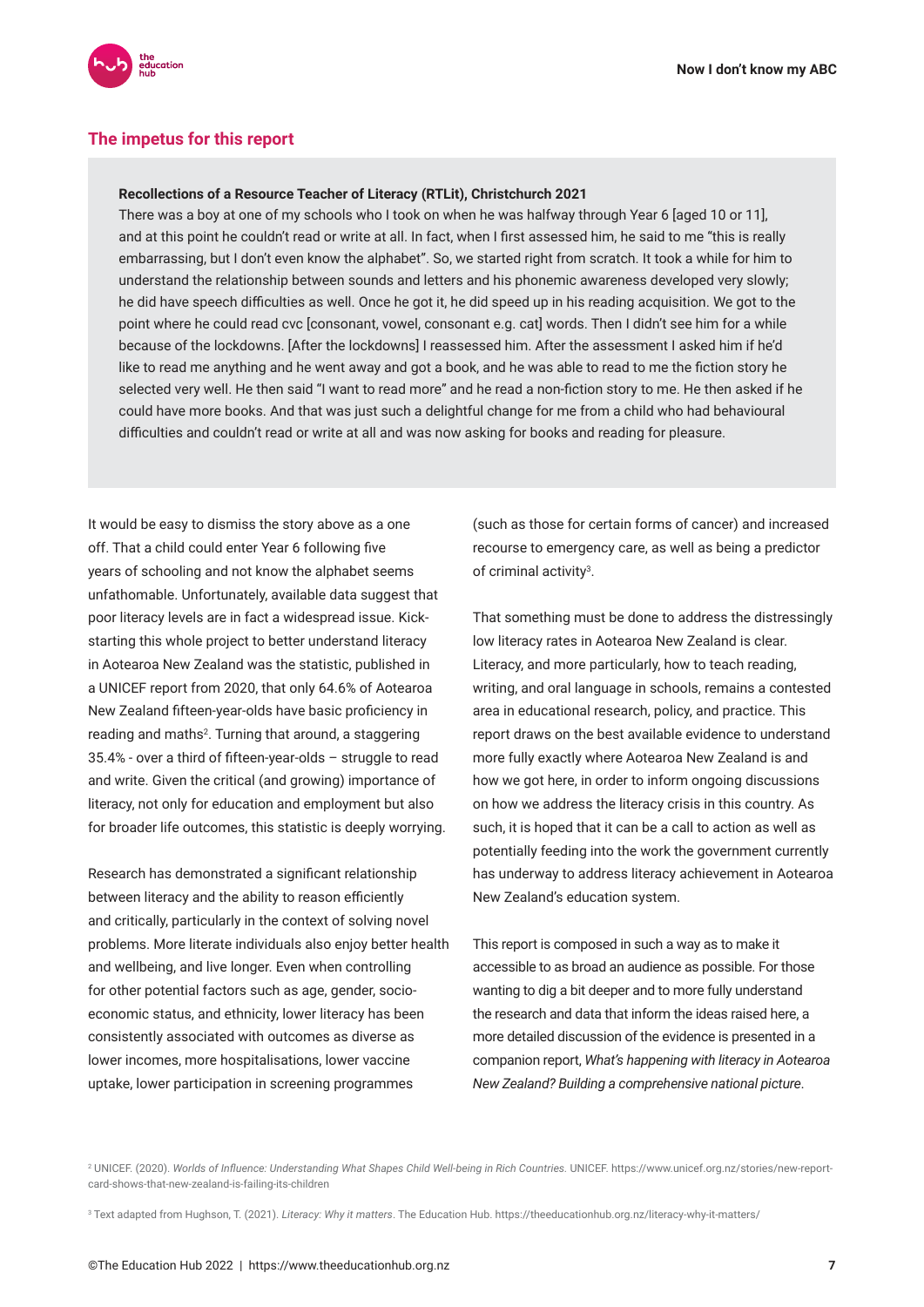

#### **The impetus for this report**

#### **Recollections of a Resource Teacher of Literacy (RTLit), Christchurch 2021**

There was a boy at one of my schools who I took on when he was halfway through Year 6 [aged 10 or 11], and at this point he couldn't read or write at all. In fact, when I first assessed him, he said to me "this is really embarrassing, but I don't even know the alphabet". So, we started right from scratch. It took a while for him to understand the relationship between sounds and letters and his phonemic awareness developed very slowly; he did have speech difficulties as well. Once he got it, he did speed up in his reading acquisition. We got to the point where he could read cvc [consonant, vowel, consonant e.g. cat] words. Then I didn't see him for a while because of the lockdowns. [After the lockdowns] I reassessed him. After the assessment I asked him if he'd like to read me anything and he went away and got a book, and he was able to read to me the fiction story he selected very well. He then said "I want to read more" and he read a non-fiction story to me. He then asked if he could have more books. And that was just such a delightful change for me from a child who had behavioural difficulties and couldn't read or write at all and was now asking for books and reading for pleasure.

It would be easy to dismiss the story above as a one off. That a child could enter Year 6 following five years of schooling and not know the alphabet seems unfathomable. Unfortunately, available data suggest that poor literacy levels are in fact a widespread issue. Kickstarting this whole project to better understand literacy in Aotearoa New Zealand was the statistic, published in a UNICEF report from 2020, that only 64.6% of Aotearoa New Zealand fifteen-year-olds have basic proficiency in reading and maths<sup>2</sup>. Turning that around, a staggering 35.4% - over a third of fifteen-year-olds – struggle to read and write. Given the critical (and growing) importance of literacy, not only for education and employment but also for broader life outcomes, this statistic is deeply worrying.

Research has demonstrated a significant relationship between literacy and the ability to reason efficiently and critically, particularly in the context of solving novel problems. More literate individuals also enjoy better health and wellbeing, and live longer. Even when controlling for other potential factors such as age, gender, socioeconomic status, and ethnicity, lower literacy has been consistently associated with outcomes as diverse as lower incomes, more hospitalisations, lower vaccine uptake, lower participation in screening programmes

(such as those for certain forms of cancer) and increased recourse to emergency care, as well as being a predictor of criminal activity<sup>3</sup>.

That something must be done to address the distressingly low literacy rates in Aotearoa New Zealand is clear. Literacy, and more particularly, how to teach reading, writing, and oral language in schools, remains a contested area in educational research, policy, and practice. This report draws on the best available evidence to understand more fully exactly where Aotearoa New Zealand is and how we got here, in order to inform ongoing discussions on how we address the literacy crisis in this country. As such, it is hoped that it can be a call to action as well as potentially feeding into the work the government currently has underway to address literacy achievement in Aotearoa New Zealand's education system.

This report is composed in such a way as to make it accessible to as broad an audience as possible. For those wanting to dig a bit deeper and to more fully understand the research and data that inform the ideas raised here, a more detailed discussion of the evidence is presented in a companion report, *What's happening with literacy in Aotearoa New Zealand? Building a comprehensive national picture*.

3 Text adapted from Hughson, T. (2021). *Literacy: Why it matters*. The Education Hub.<https://theeducationhub.org.nz/literacy-why-it-matters/>

<sup>&</sup>lt;sup>2</sup> UNICEF. (2020). *Worlds of Influence: Understanding What Shapes Child Well-being in Rich Countries. UNICEF. [https://www.unicef.org.nz/stories/new-report](https://www.unicef.org.nz/stories/new-report-card-shows-that-new-zealand-is-failing-its-children)*[card-shows-that-new-zealand-is-failing-its-children](https://www.unicef.org.nz/stories/new-report-card-shows-that-new-zealand-is-failing-its-children)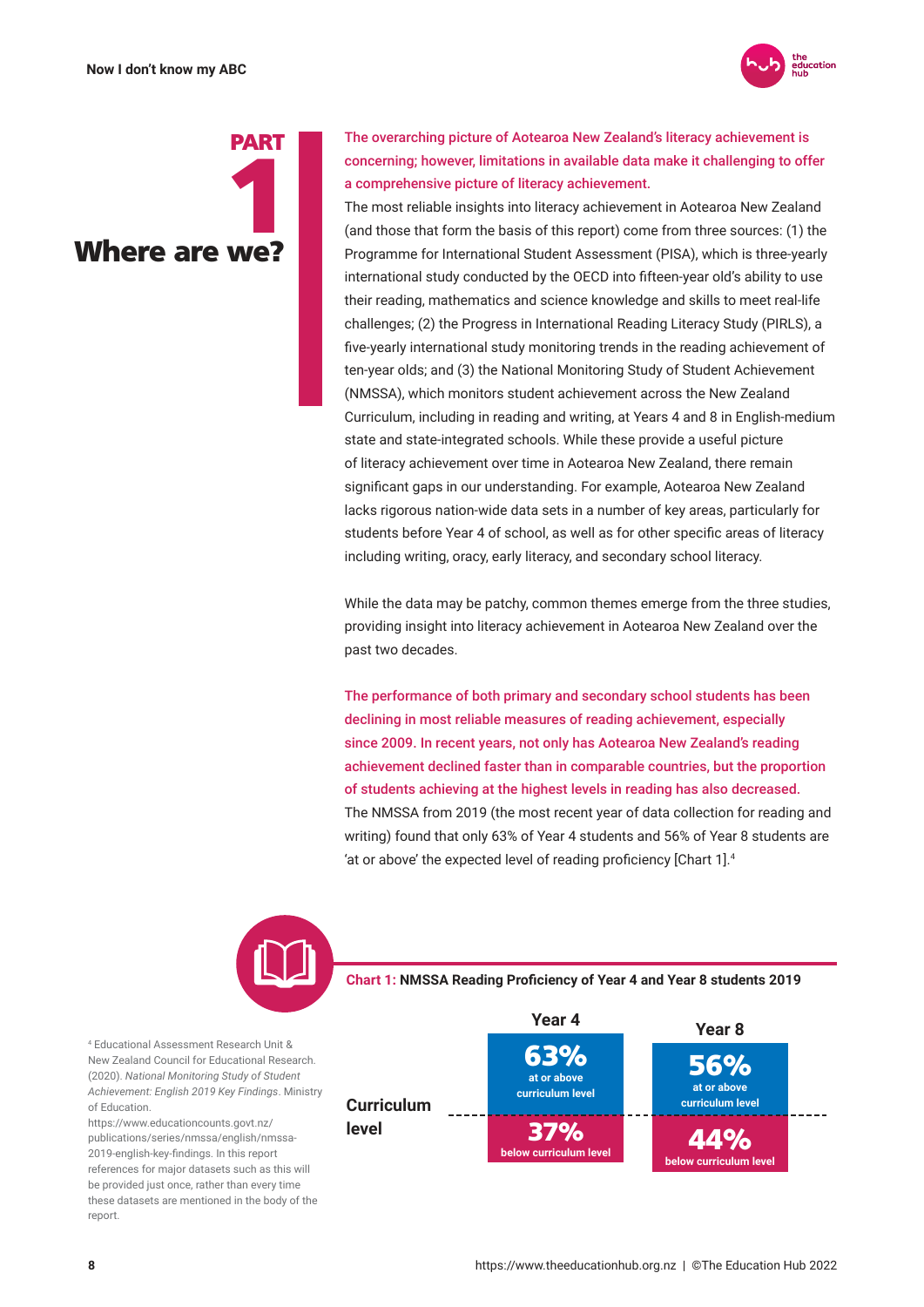

PART Where are we? 1 The overarching picture of Aotearoa New Zealand's literacy achievement is concerning; however, limitations in available data make it challenging to offer a comprehensive picture of literacy achievement.

The most reliable insights into literacy achievement in Aotearoa New Zealand (and those that form the basis of this report) come from three sources: (1) the Programme for International Student Assessment (PISA), which is three-yearly international study conducted by the OECD into fifteen-year old's ability to use their reading, mathematics and science knowledge and skills to meet real-life challenges; (2) the Progress in International Reading Literacy Study (PIRLS), a five-yearly international study monitoring trends in the reading achievement of ten-year olds; and (3) the National Monitoring Study of Student Achievement (NMSSA), which monitors student achievement across the New Zealand Curriculum, including in reading and writing, at Years 4 and 8 in English-medium state and state-integrated schools. While these provide a useful picture of literacy achievement over time in Aotearoa New Zealand, there remain significant gaps in our understanding. For example, Aotearoa New Zealand lacks rigorous nation-wide data sets in a number of key areas, particularly for students before Year 4 of school, as well as for other specific areas of literacy including writing, oracy, early literacy, and secondary school literacy.

While the data may be patchy, common themes emerge from the three studies, providing insight into literacy achievement in Aotearoa New Zealand over the past two decades.

The performance of both primary and secondary school students has been declining in most reliable measures of reading achievement, especially since 2009. In recent years, not only has Aotearoa New Zealand's reading achievement declined faster than in comparable countries, but the proportion of students achieving at the highest levels in reading has also decreased. The NMSSA from 2019 (the most recent year of data collection for reading and writing) found that only 63% of Year 4 students and 56% of Year 8 students are 'at or above' the expected level of reading proficiency [Chart 1].<sup>4</sup>



**Chart 1: NMSSA Reading Proficiency of Year 4 and Year 8 students 2019**



[https://www.educationcounts.govt.nz/](https://www.educationcounts.govt.nz/publications/series/nmssa/english/nmssa-2019-english-key-findings) [publications/series/nmssa/english/nmssa-](https://www.educationcounts.govt.nz/publications/series/nmssa/english/nmssa-2019-english-key-findings)[2019-english-key-findings](https://www.educationcounts.govt.nz/publications/series/nmssa/english/nmssa-2019-english-key-findings). In this report references for major datasets such as this will be provided just once, rather than every time these datasets are mentioned in the body of the report.

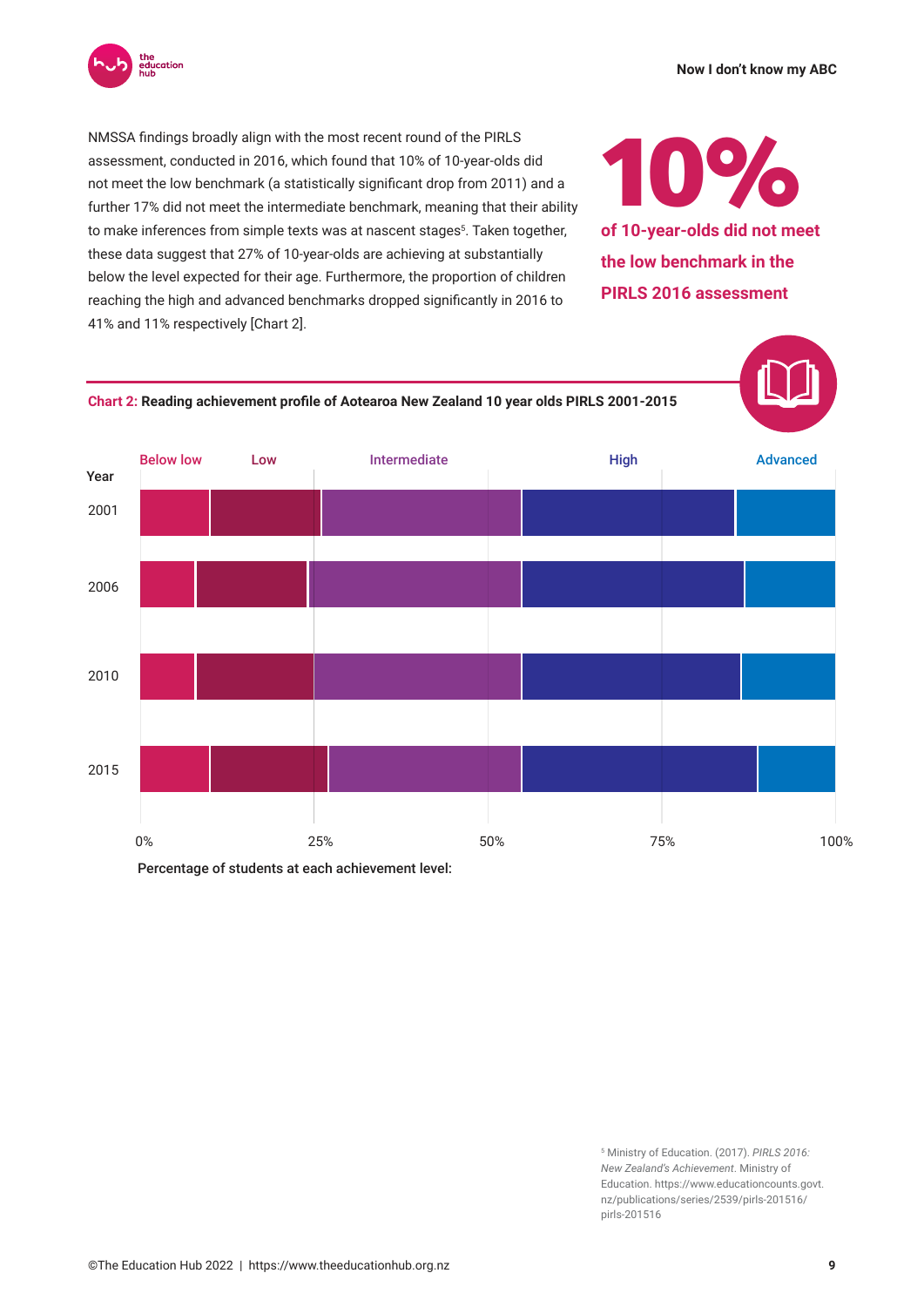

NMSSA findings broadly align with the most recent round of the PIRLS assessment, conducted in 2016, which found that 10% of 10-year-olds did not meet the low benchmark (a statistically significant drop from 2011) and a further 17% did not meet the intermediate benchmark, meaning that their ability to make inferences from simple texts was at nascent stages<sup>5</sup>. Taken together, these data suggest that 27% of 10-year-olds are achieving at substantially below the level expected for their age. Furthermore, the proportion of children reaching the high and advanced benchmarks dropped significantly in 2016 to 41% and 11% respectively [Chart 2].

10% **of 10-year-olds did not meet the low benchmark in the PIRLS 2016 assessment**



Percentage of students at each achievement level: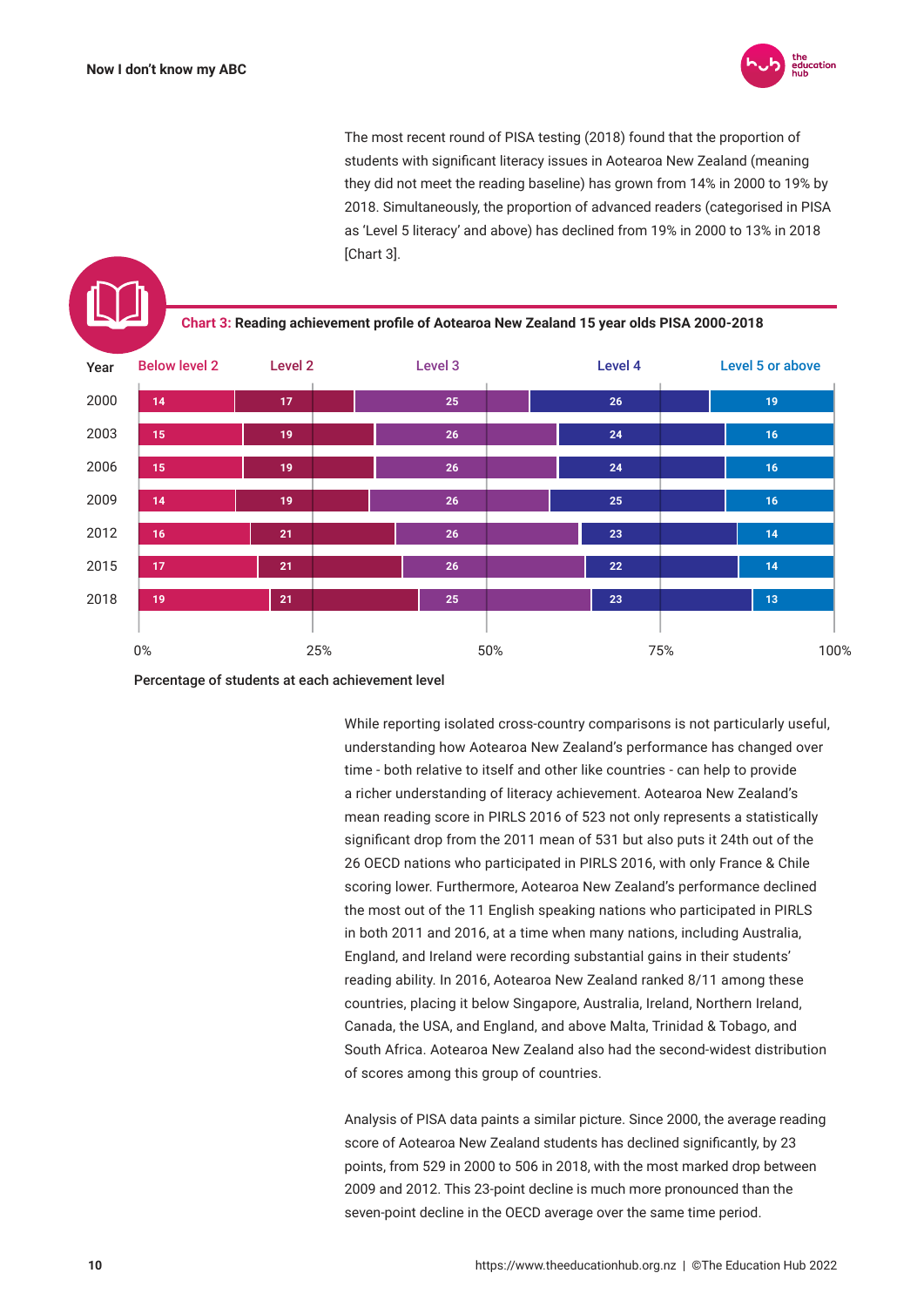

The most recent round of PISA testing (2018) found that the proportion of students with significant literacy issues in Aotearoa New Zealand (meaning they did not meet the reading baseline) has grown from 14% in 2000 to 19% by 2018. Simultaneously, the proportion of advanced readers (categorised in PISA as 'Level 5 literacy' and above) has declined from 19% in 2000 to 13% in 2018 [Chart 3].

 $0\%$  25% 25% 50% 75% 75% 100% 2000 2009 2006 2003 2015 2012 2018 Below level 2 Level 2 Level 3 Level 4 Level 5 or above **19 21 25 23 13 17 21 26 22 14 16 21 26 23 14 14 19 26 25 16 15 19 26 24 16 15 19 26 24 16 14 17 25 26 19 Chart 3: Reading achievement profile of Aotearoa New Zealand 15 year olds PISA 2000-2018** Year

**19** Percentage of students at each achievement level

While reporting isolated cross-country comparisons is not particularly useful, understanding how Aotearoa New Zealand's performance has changed over time - both relative to itself and other like countries - can help to provide a richer understanding of literacy achievement. Aotearoa New Zealand's mean reading score in PIRLS 2016 of 523 not only represents a statistically significant drop from the 2011 mean of 531 but also puts it 24th out of the 26 OECD nations who participated in PIRLS 2016, with only France & Chile scoring lower. Furthermore, Aotearoa New Zealand's performance declined the most out of the 11 English speaking nations who participated in PIRLS in both 2011 and 2016, at a time when many nations, including Australia, England, and Ireland were recording substantial gains in their students' reading ability. In 2016, Aotearoa New Zealand ranked 8/11 among these countries, placing it below Singapore, Australia, Ireland, Northern Ireland, Canada, the USA, and England, and above Malta, Trinidad & Tobago, and South Africa. Aotearoa New Zealand also had the second-widest distribution of scores among this group of countries.

Analysis of PISA data paints a similar picture. Since 2000, the average reading score of Aotearoa New Zealand students has declined significantly, by 23 points, from 529 in 2000 to 506 in 2018, with the most marked drop between 2009 and 2012. This 23-point decline is much more pronounced than the seven-point decline in the OECD average over the same time period.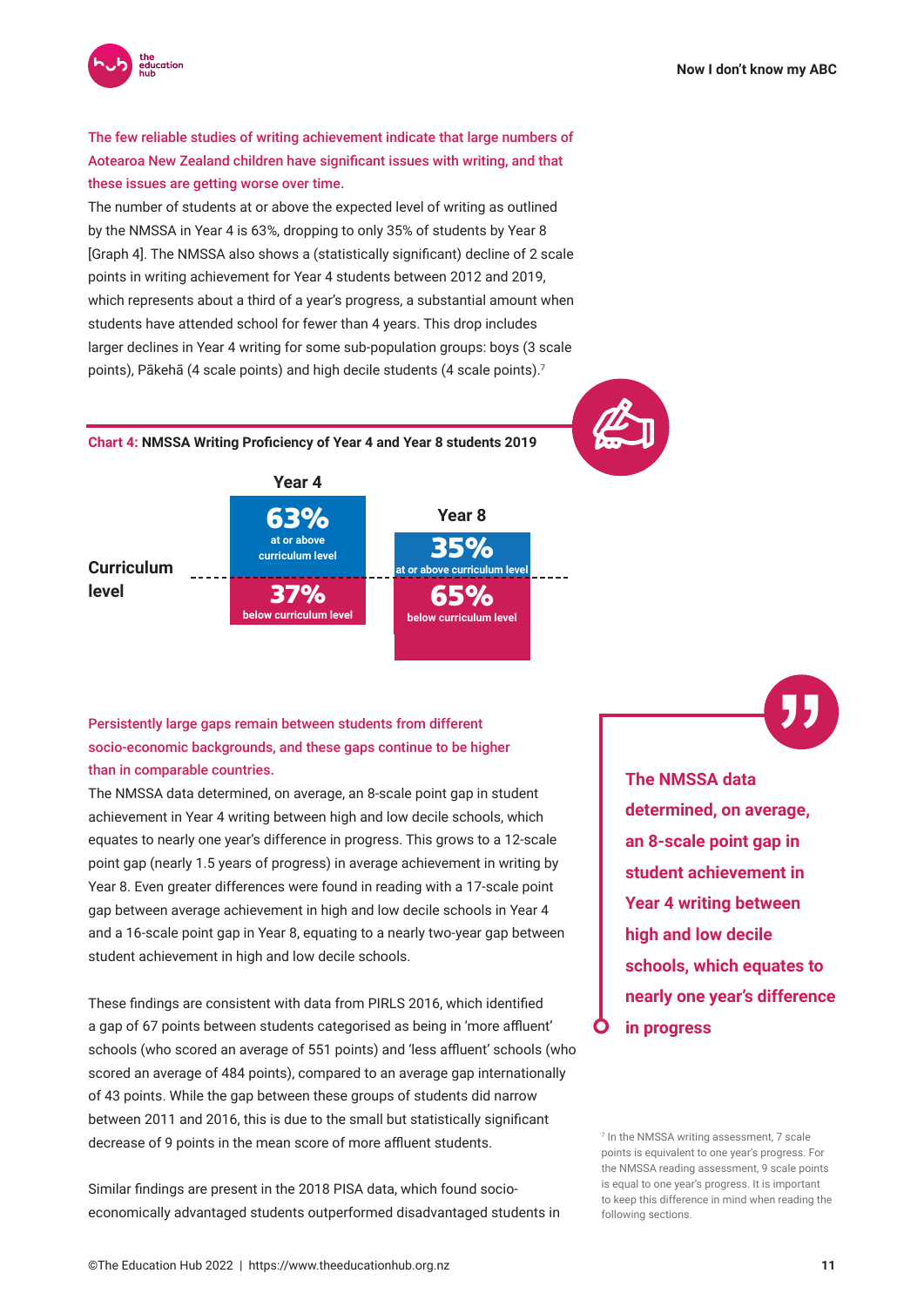

The few reliable studies of writing achievement indicate that large numbers of Aotearoa New Zealand children have significant issues with writing, and that these issues are getting worse over time.

The number of students at or above the expected level of writing as outlined by the NMSSA in Year 4 is 63%, dropping to only 35% of students by Year 8 [Graph 4]. The NMSSA also shows a (statistically significant) decline of 2 scale points in writing achievement for Year 4 students between 2012 and 2019, which represents about a third of a year's progress, a substantial amount when students have attended school for fewer than 4 years. This drop includes larger declines in Year 4 writing for some sub-population groups: boys (3 scale points), Pākehā (4 scale points) and high decile students (4 scale points).<sup>7</sup>



**Chart 4: NMSSA Writing Proficiency of Year 4 and Year 8 students 2019**

#### Persistently large gaps remain between students from different socio-economic backgrounds, and these gaps continue to be higher than in comparable countries.

The NMSSA data determined, on average, an 8-scale point gap in student achievement in Year 4 writing between high and low decile schools, which equates to nearly one year's difference in progress. This grows to a 12-scale point gap (nearly 1.5 years of progress) in average achievement in writing by Year 8. Even greater differences were found in reading with a 17-scale point gap between average achievement in high and low decile schools in Year 4 and a 16-scale point gap in Year 8, equating to a nearly two-year gap between student achievement in high and low decile schools.

These findings are consistent with data from PIRLS 2016, which identified a gap of 67 points between students categorised as being in 'more affluent' schools (who scored an average of 551 points) and 'less affluent' schools (who scored an average of 484 points), compared to an average gap internationally of 43 points. While the gap between these groups of students did narrow between 2011 and 2016, this is due to the small but statistically significant decrease of 9 points in the mean score of more affluent students.

Similar findings are present in the 2018 PISA data, which found socioeconomically advantaged students outperformed disadvantaged students in

**The NMSSA data determined, on average, an 8-scale point gap in student achievement in Year 4 writing between high and low decile schools, which equates to nearly one year's difference in progress**

7 In the NMSSA writing assessment, 7 scale points is equivalent to one year's progress. For the NMSSA reading assessment, 9 scale points is equal to one year's progress. It is important to keep this difference in mind when reading the following sections.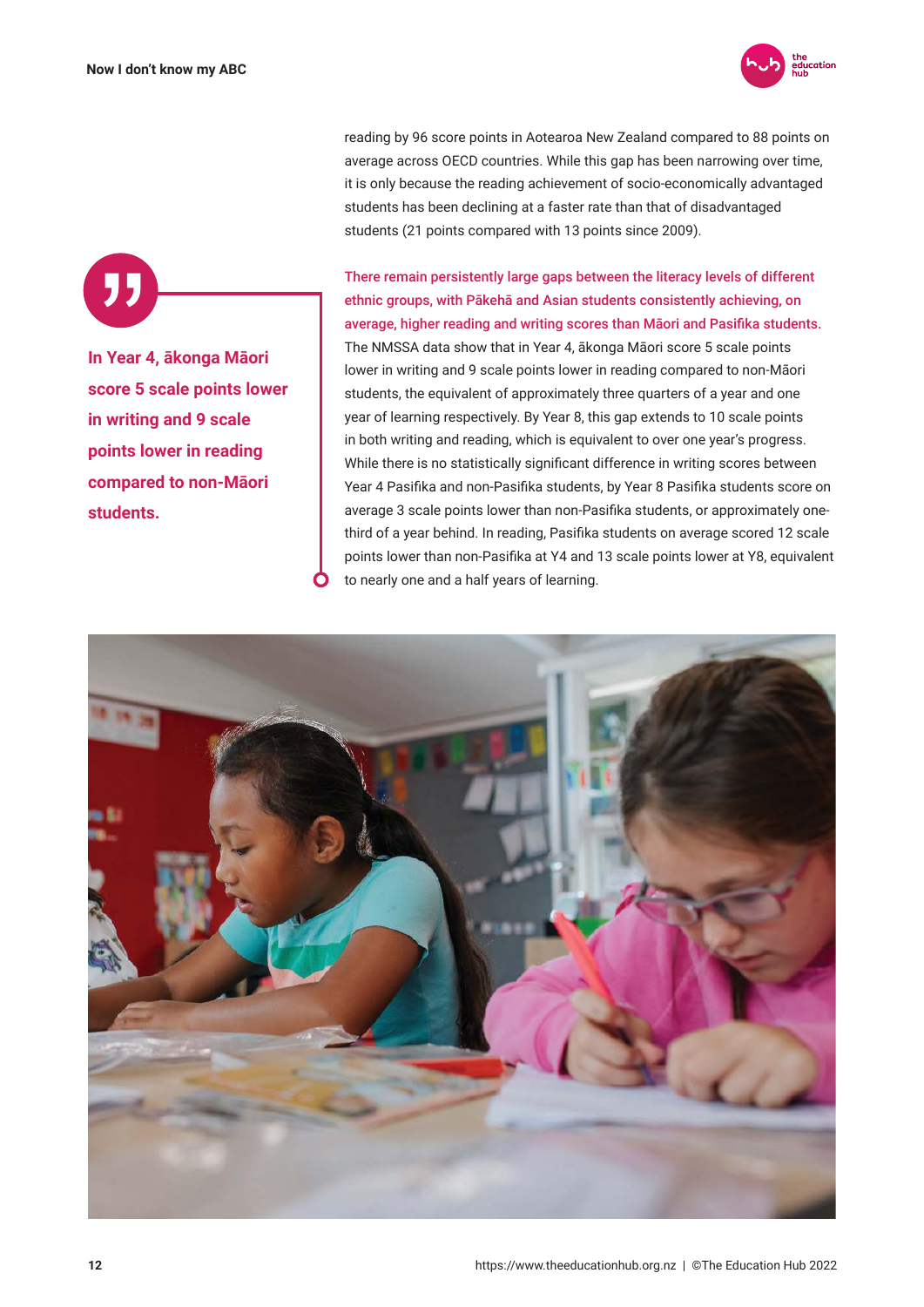**In Year 4, ākonga Māori** 

**in writing and 9 scale** 

**points lower in reading** 

**compared to non-Māori** 

**students.**

**score 5 scale points lower** 



reading by 96 score points in Aotearoa New Zealand compared to 88 points on average across OECD countries. While this gap has been narrowing over time, it is only because the reading achievement of socio-economically advantaged students has been declining at a faster rate than that of disadvantaged students (21 points compared with 13 points since 2009).

There remain persistently large gaps between the literacy levels of different ethnic groups, with Pākehā and Asian students consistently achieving, on average, higher reading and writing scores than Māori and Pasifika students. The NMSSA data show that in Year 4, ākonga Māori score 5 scale points lower in writing and 9 scale points lower in reading compared to non-Māori students, the equivalent of approximately three quarters of a year and one year of learning respectively. By Year 8, this gap extends to 10 scale points in both writing and reading, which is equivalent to over one year's progress. While there is no statistically significant difference in writing scores between Year 4 Pasifika and non-Pasifika students, by Year 8 Pasifika students score on average 3 scale points lower than non-Pasifika students, or approximately onethird of a year behind. In reading, Pasifika students on average scored 12 scale points lower than non-Pasifika at Y4 and 13 scale points lower at Y8, equivalent to nearly one and a half years of learning.

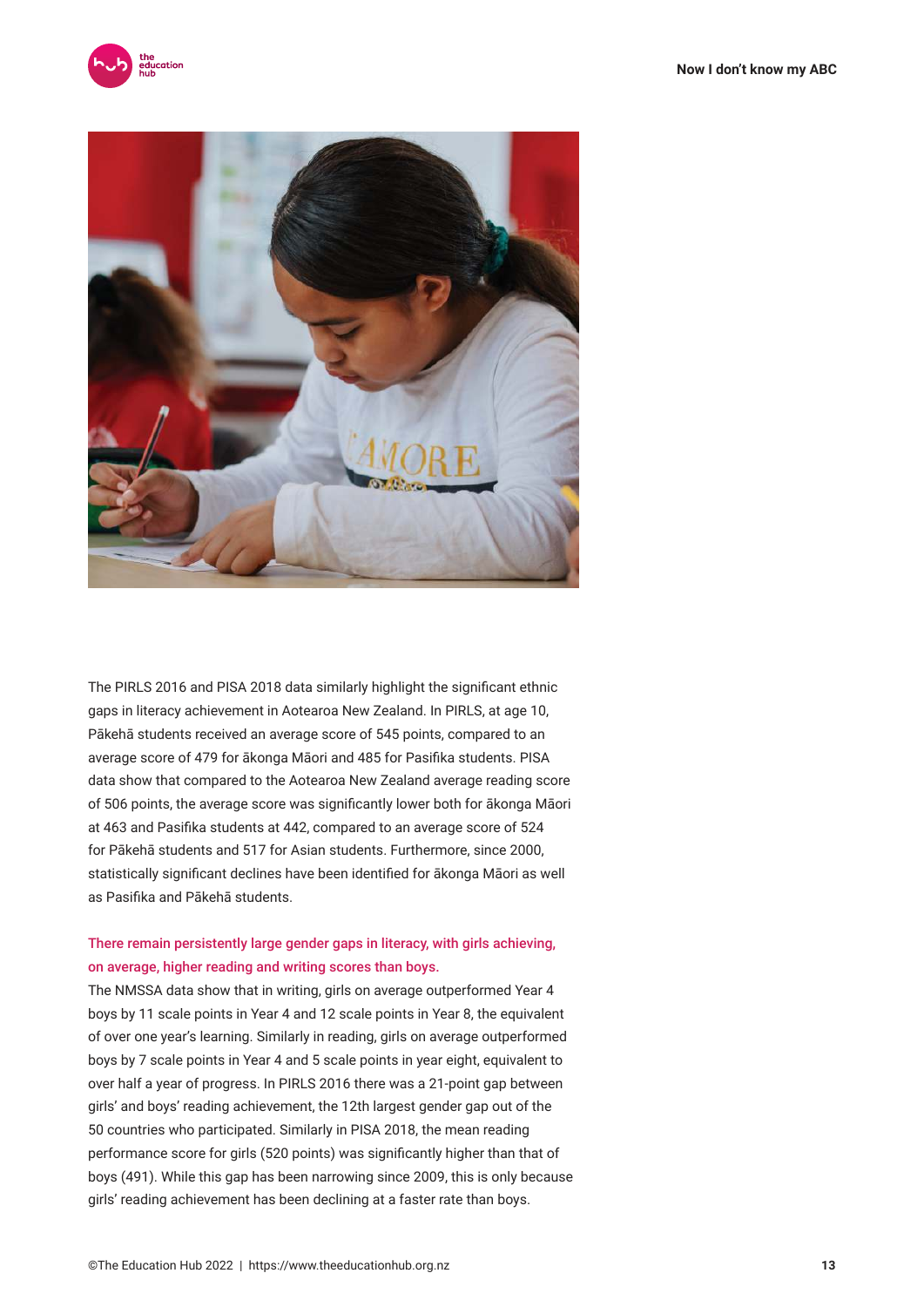



The PIRLS 2016 and PISA 2018 data similarly highlight the significant ethnic gaps in literacy achievement in Aotearoa New Zealand. In PIRLS, at age 10, Pākehā students received an average score of 545 points, compared to an average score of 479 for ākonga Māori and 485 for Pasifika students. PISA data show that compared to the Aotearoa New Zealand average reading score of 506 points, the average score was significantly lower both for ākonga Māori at 463 and Pasifika students at 442, compared to an average score of 524 for Pākehā students and 517 for Asian students. Furthermore, since 2000, statistically significant declines have been identified for ākonga Māori as well as Pasifika and Pākehā students.

#### There remain persistently large gender gaps in literacy, with girls achieving, on average, higher reading and writing scores than boys.

The NMSSA data show that in writing, girls on average outperformed Year 4 boys by 11 scale points in Year 4 and 12 scale points in Year 8, the equivalent of over one year's learning. Similarly in reading, girls on average outperformed boys by 7 scale points in Year 4 and 5 scale points in year eight, equivalent to over half a year of progress. In PIRLS 2016 there was a 21-point gap between girls' and boys' reading achievement, the 12th largest gender gap out of the 50 countries who participated. Similarly in PISA 2018, the mean reading performance score for girls (520 points) was significantly higher than that of boys (491). While this gap has been narrowing since 2009, this is only because girls' reading achievement has been declining at a faster rate than boys.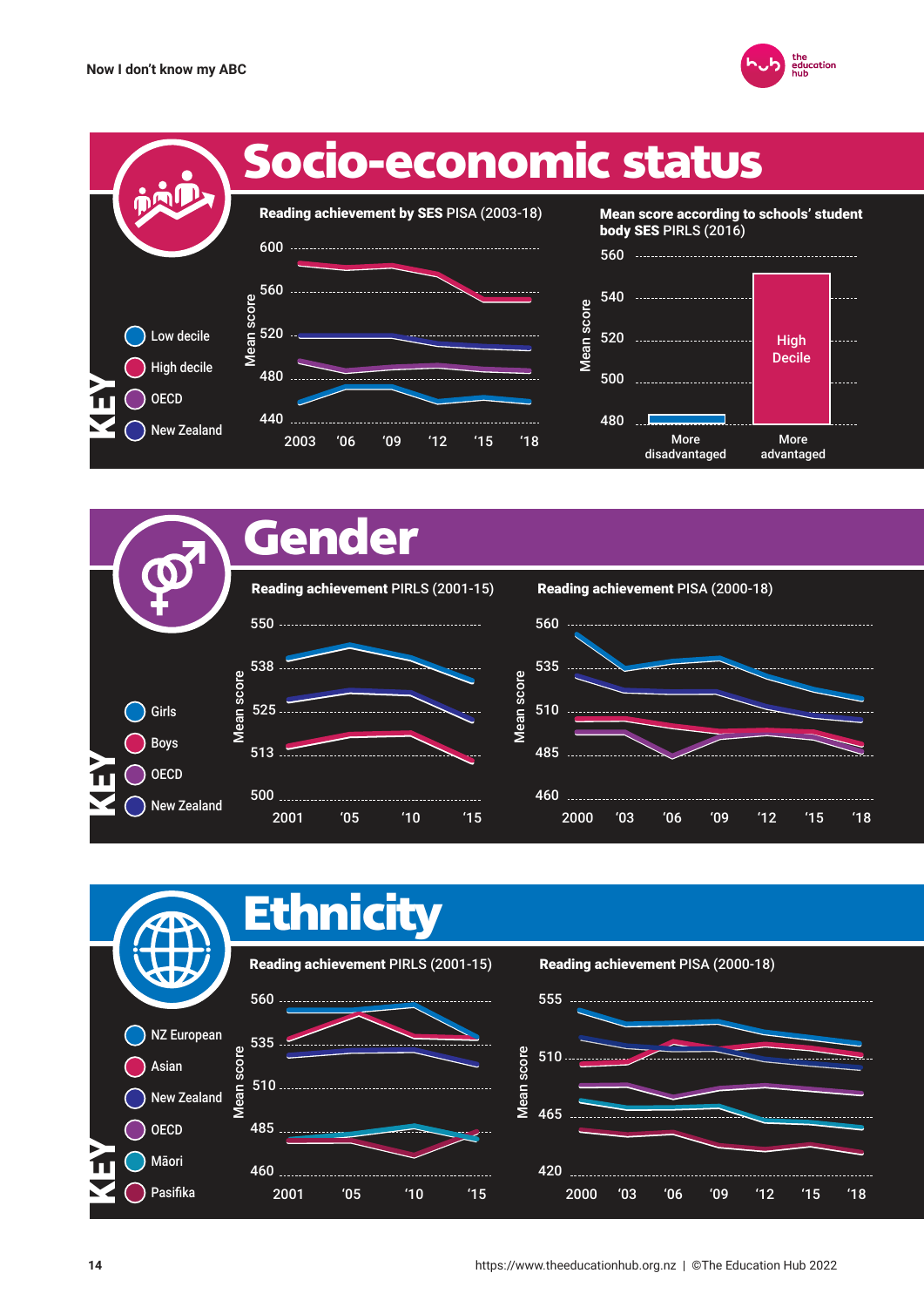





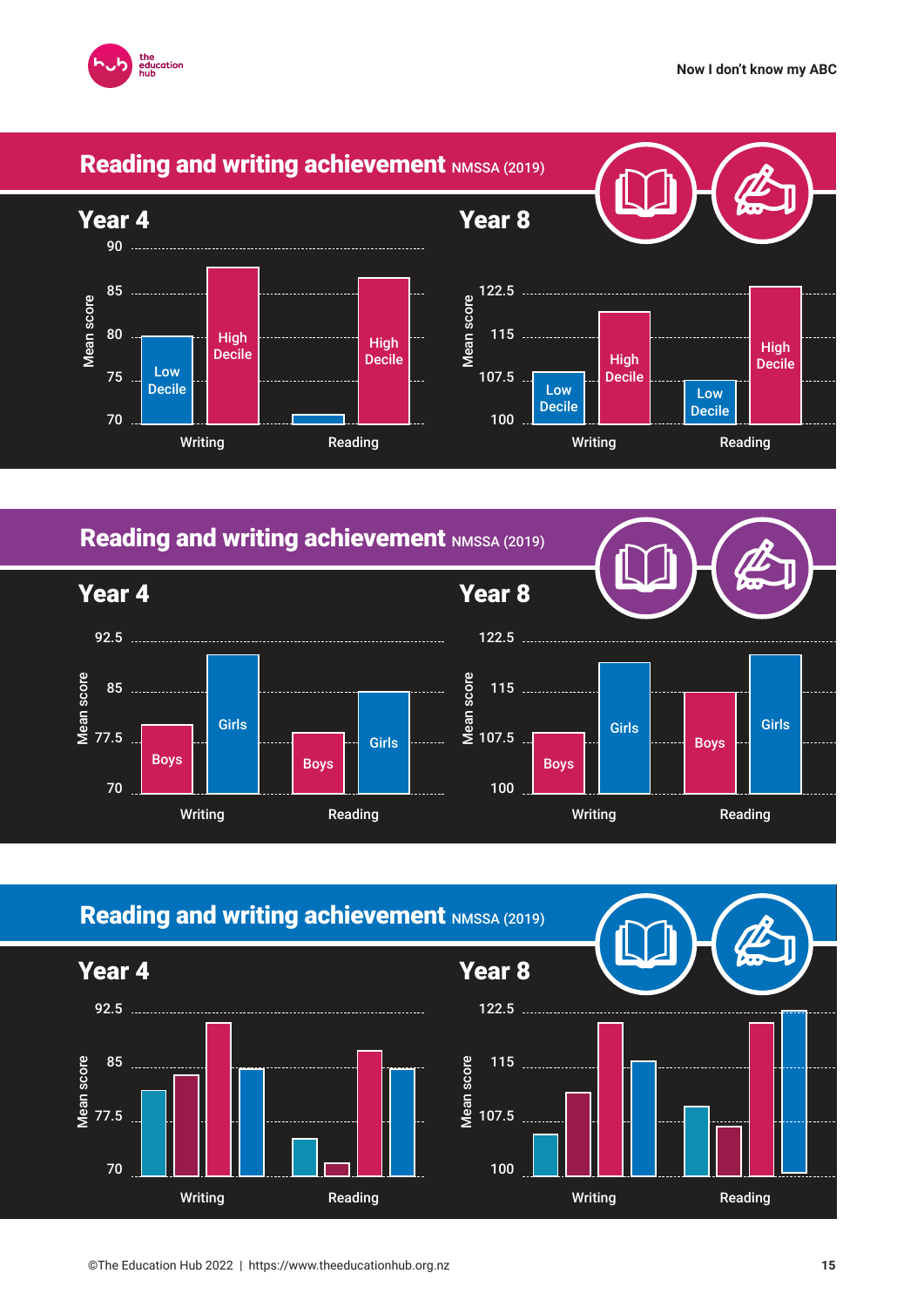





Writing Reading Reading Reading Reading Reading Reading 70 100 77.5 107.5 85 115 92.5 122.5 es<br>
Mean<br>
Mean<br>
Moral<br>
Moral<br>
Moral<br>
Moral<br>
Moral<br>
Moral<br>
Moral<br>
Moral<br>
Moral<br>
Moral<br>
Moral<br>
Moral<br>
Moral<br>
Moral<br>
Moral<br>
Moral<br>
Moral<br>
Moral<br>
Moral<br>
Moral<br>
Moral<br>
Moral<br>
Moral<br>
Moral<br>
Moral<br>
Moral<br>
Moral<br>
Moral<br>
Moral<br>
Mor  $\frac{6}{3}$  115<br>  $\frac{6}{3}$  107.5 Reading and writing achievement NMSSA (2019) **Year 4** Year 8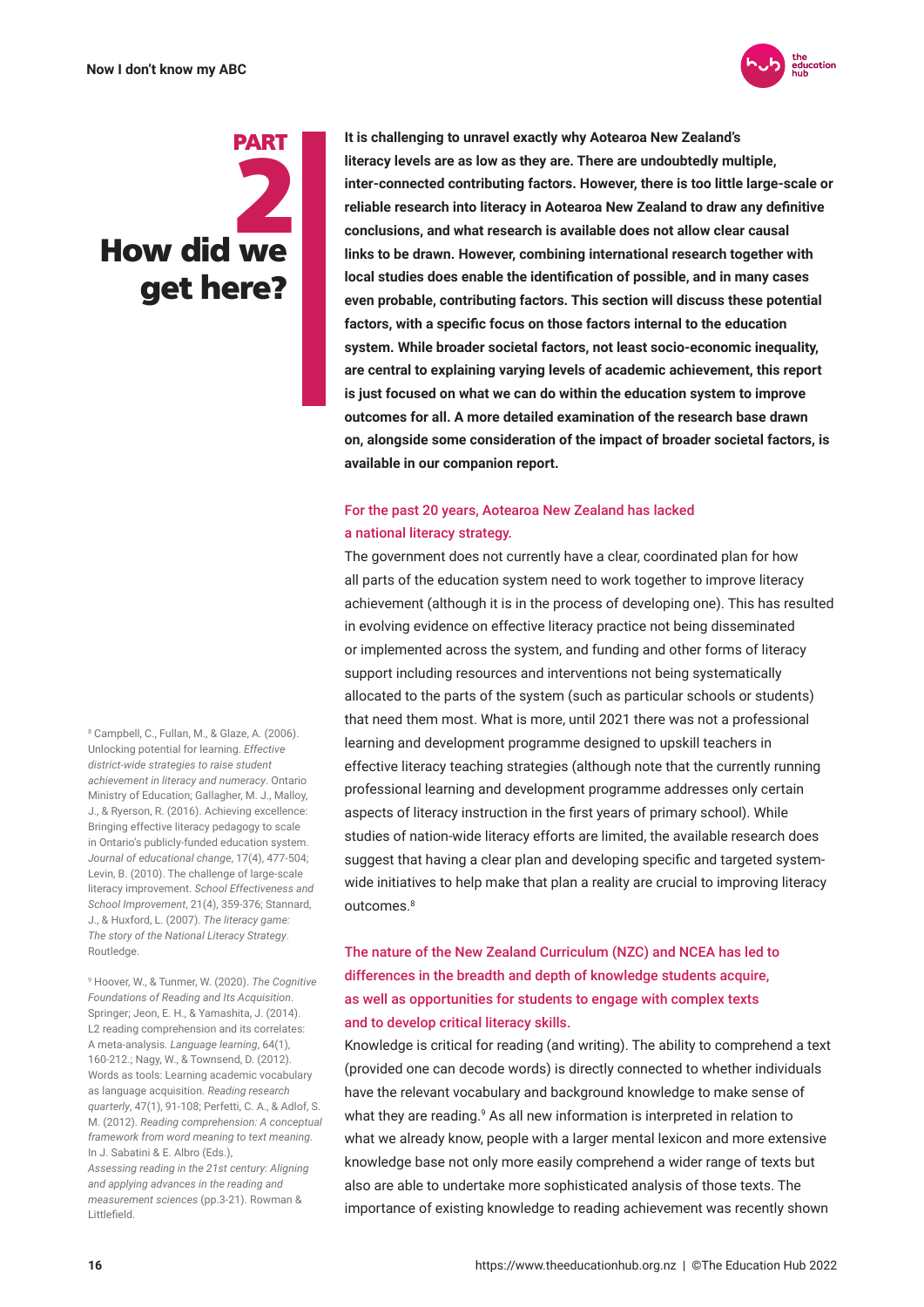

## How did we 2 get here?

PART

8 Campbell, C., Fullan, M., & Glaze, A. (2006). Unlocking potential for learning. *Effective district-wide strategies to raise student achievement in literacy and numeracy*. Ontario Ministry of Education; Gallagher, M. J., Malloy, J., & Ryerson, R. (2016). Achieving excellence: Bringing effective literacy pedagogy to scale in Ontario's publicly-funded education system. *Journal of educational change*, 17(4), 477-504; Levin, B. (2010). The challenge of large-scale literacy improvement. *School Effectiveness and School Improvement*, 21(4), 359-376; Stannard, J., & Huxford, L. (2007). *The literacy game: The story of the National Literacy Strategy*. Routledge.

9 Hoover, W., & Tunmer, W. (2020). *The Cognitive Foundations of Reading and Its Acquisition*. Springer; Jeon, E. H., & Yamashita, J. (2014). L2 reading comprehension and its correlates: A meta‐analysis*. Language learning*, 64(1), 160-212.; Nagy, W., & Townsend, D. (2012). Words as tools: Learning academic vocabulary as language acquisition. *Reading research quarterly*, 47(1), 91-108; Perfetti, C. A., & Adlof, S. M. (2012). *Reading comprehension: A conceptual framework from word meaning to text meaning.* In J. Sabatini & E. Albro (Eds.), *Assessing reading in the 21st century: Aligning and applying advances in the reading and measurement sciences* (pp.3-21). Rowman & Littlefield.

**It is challenging to unravel exactly why Aotearoa New Zealand's literacy levels are as low as they are. There are undoubtedly multiple, inter-connected contributing factors. However, there is too little large-scale or reliable research into literacy in Aotearoa New Zealand to draw any definitive conclusions, and what research is available does not allow clear causal links to be drawn. However, combining international research together with local studies does enable the identification of possible, and in many cases even probable, contributing factors. This section will discuss these potential factors, with a specific focus on those factors internal to the education system. While broader societal factors, not least socio-economic inequality, are central to explaining varying levels of academic achievement, this report is just focused on what we can do within the education system to improve outcomes for all. A more detailed examination of the research base drawn on, alongside some consideration of the impact of broader societal factors, is available in our companion report.** 

#### For the past 20 years, Aotearoa New Zealand has lacked a national literacy strategy.

The government does not currently have a clear, coordinated plan for how all parts of the education system need to work together to improve literacy achievement (although it is in the process of developing one). This has resulted in evolving evidence on effective literacy practice not being disseminated or implemented across the system, and funding and other forms of literacy support including resources and interventions not being systematically allocated to the parts of the system (such as particular schools or students) that need them most. What is more, until 2021 there was not a professional learning and development programme designed to upskill teachers in effective literacy teaching strategies (although note that the currently running professional learning and development programme addresses only certain aspects of literacy instruction in the first years of primary school). While studies of nation-wide literacy efforts are limited, the available research does suggest that having a clear plan and developing specific and targeted systemwide initiatives to help make that plan a reality are crucial to improving literacy outcomes.<sup>8</sup>

#### The nature of the New Zealand Curriculum (NZC) and NCEA has led to differences in the breadth and depth of knowledge students acquire, as well as opportunities for students to engage with complex texts and to develop critical literacy skills.

Knowledge is critical for reading (and writing). The ability to comprehend a text (provided one can decode words) is directly connected to whether individuals have the relevant vocabulary and background knowledge to make sense of what they are reading.<sup>9</sup> As all new information is interpreted in relation to what we already know, people with a larger mental lexicon and more extensive knowledge base not only more easily comprehend a wider range of texts but also are able to undertake more sophisticated analysis of those texts. The importance of existing knowledge to reading achievement was recently shown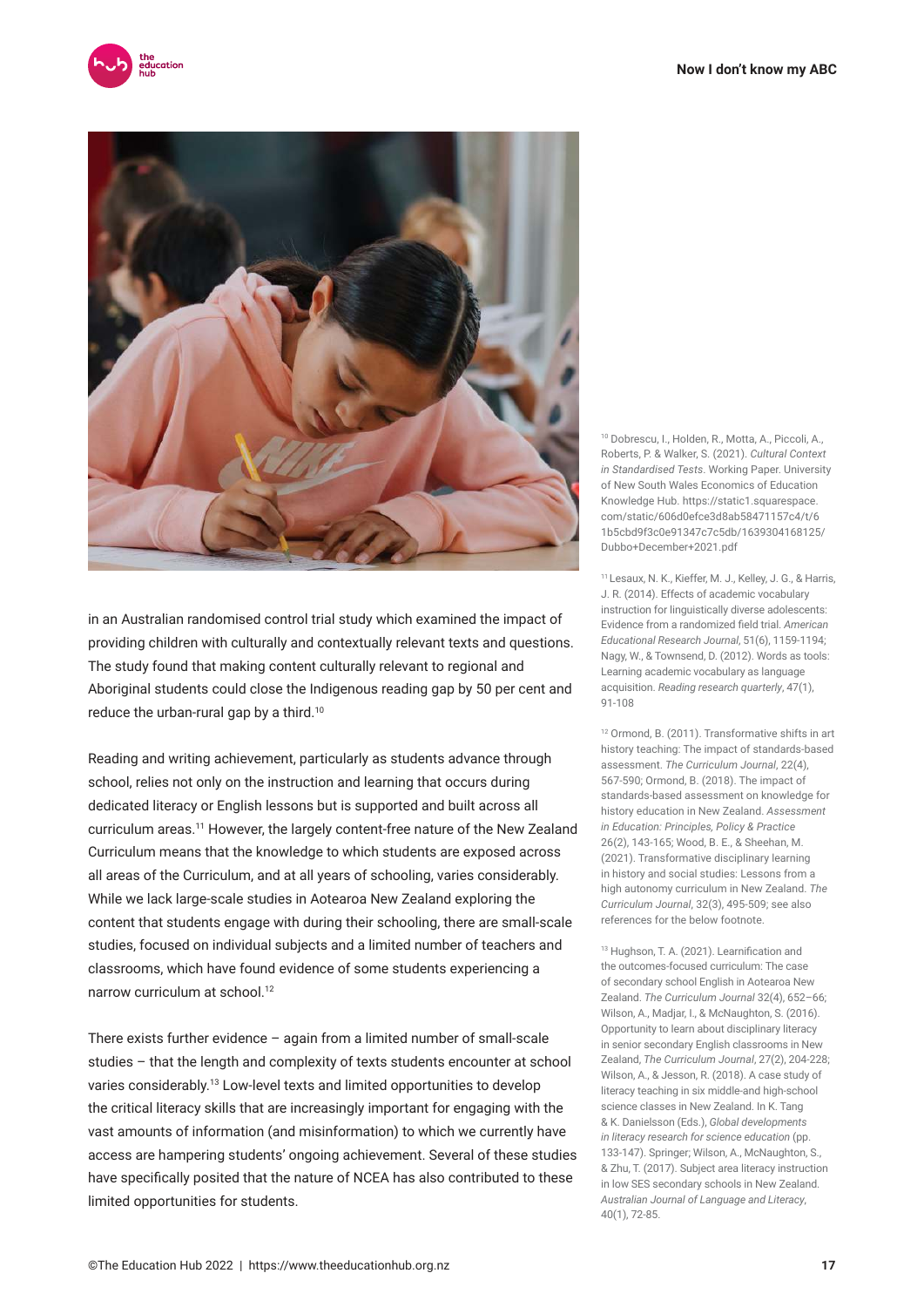



in an Australian randomised control trial study which examined the impact of providing children with culturally and contextually relevant texts and questions. The study found that making content culturally relevant to regional and Aboriginal students could close the Indigenous reading gap by 50 per cent and reduce the urban-rural gap by a third.<sup>10</sup>

Reading and writing achievement, particularly as students advance through school, relies not only on the instruction and learning that occurs during dedicated literacy or English lessons but is supported and built across all curriculum areas.<sup>11</sup> However, the largely content-free nature of the New Zealand Curriculum means that the knowledge to which students are exposed across all areas of the Curriculum, and at all years of schooling, varies considerably. While we lack large-scale studies in Aotearoa New Zealand exploring the content that students engage with during their schooling, there are small-scale studies, focused on individual subjects and a limited number of teachers and classrooms, which have found evidence of some students experiencing a narrow curriculum at school.<sup>12</sup>

There exists further evidence – again from a limited number of small-scale studies – that the length and complexity of texts students encounter at school varies considerably.<sup>13</sup> Low-level texts and limited opportunities to develop the critical literacy skills that are increasingly important for engaging with the vast amounts of information (and misinformation) to which we currently have access are hampering students' ongoing achievement. Several of these studies have specifically posited that the nature of NCEA has also contributed to these limited opportunities for students.

<sup>10</sup> Dobrescu, I., Holden, R., Motta, A., Piccoli, A., Roberts, P. & Walker, S. (2021). *Cultural Context in Standardised Tests*. Working Paper. University of New South Wales Economics of Education Knowledge Hub. [https://static1.squarespace.](https://static1.squarespace.com/static/606d0efce3d8ab58471157c4/t/61b5cbd9f3c0e91347c7c5db/1639304168125/Dubbo+December+2021.pdf) [com/static/606d0efce3d8ab58471157c4/t/6](https://static1.squarespace.com/static/606d0efce3d8ab58471157c4/t/61b5cbd9f3c0e91347c7c5db/1639304168125/Dubbo+December+2021.pdf) [1b5cbd9f3c0e91347c7c5db/1639304168125/](https://static1.squarespace.com/static/606d0efce3d8ab58471157c4/t/61b5cbd9f3c0e91347c7c5db/1639304168125/Dubbo+December+2021.pdf) [Dubbo+December+2021.pdf](https://static1.squarespace.com/static/606d0efce3d8ab58471157c4/t/61b5cbd9f3c0e91347c7c5db/1639304168125/Dubbo+December+2021.pdf)

<sup>11</sup>Lesaux, N. K., Kieffer, M. J., Kelley, J. G., & Harris, J. R. (2014). Effects of academic vocabulary instruction for linguistically diverse adolescents: Evidence from a randomized field trial. *American Educational Research Journal*, 51(6), 1159-1194; Nagy, W., & Townsend, D. (2012). Words as tools: Learning academic vocabulary as language acquisition. *Reading research quarterly*, 47(1), 91-108

<sup>12</sup> Ormond, B. (2011). Transformative shifts in art history teaching: The impact of standards-based assessment. *The Curriculum Journal*, 22(4), 567-590; Ormond, B. (2018). The impact of standards-based assessment on knowledge for history education in New Zealand. *Assessment in Education: Principles, Policy & Practice*  26(2), 143-165; Wood, B. E., & Sheehan, M. (2021). Transformative disciplinary learning in history and social studies: Lessons from a high autonomy curriculum in New Zealand. *The Curriculum Journal*, 32(3), 495-509; see also references for the below footnote.

<sup>13</sup> Hughson, T. A. (2021). Learnification and the outcomes‐focused curriculum: The case of secondary school English in Aotearoa New Zealand. *The Curriculum Journal* 32(4), 652–66; Wilson, A., Madjar, I., & McNaughton, S. (2016). Opportunity to learn about disciplinary literacy in senior secondary English classrooms in New Zealand, *The Curriculum Journal*, 27(2), 204-228; Wilson, A., & Jesson, R. (2018). A case study of literacy teaching in six middle-and high-school science classes in New Zealand. In K. Tang & K. Danielsson (Eds.), *Global developments in literacy research for science education* (pp. 133-147). Springer; Wilson, A., McNaughton, S., & Zhu, T. (2017). Subject area literacy instruction in low SES secondary schools in New Zealand. *Australian Journal of Language and Literacy*, 40(1), 72-85.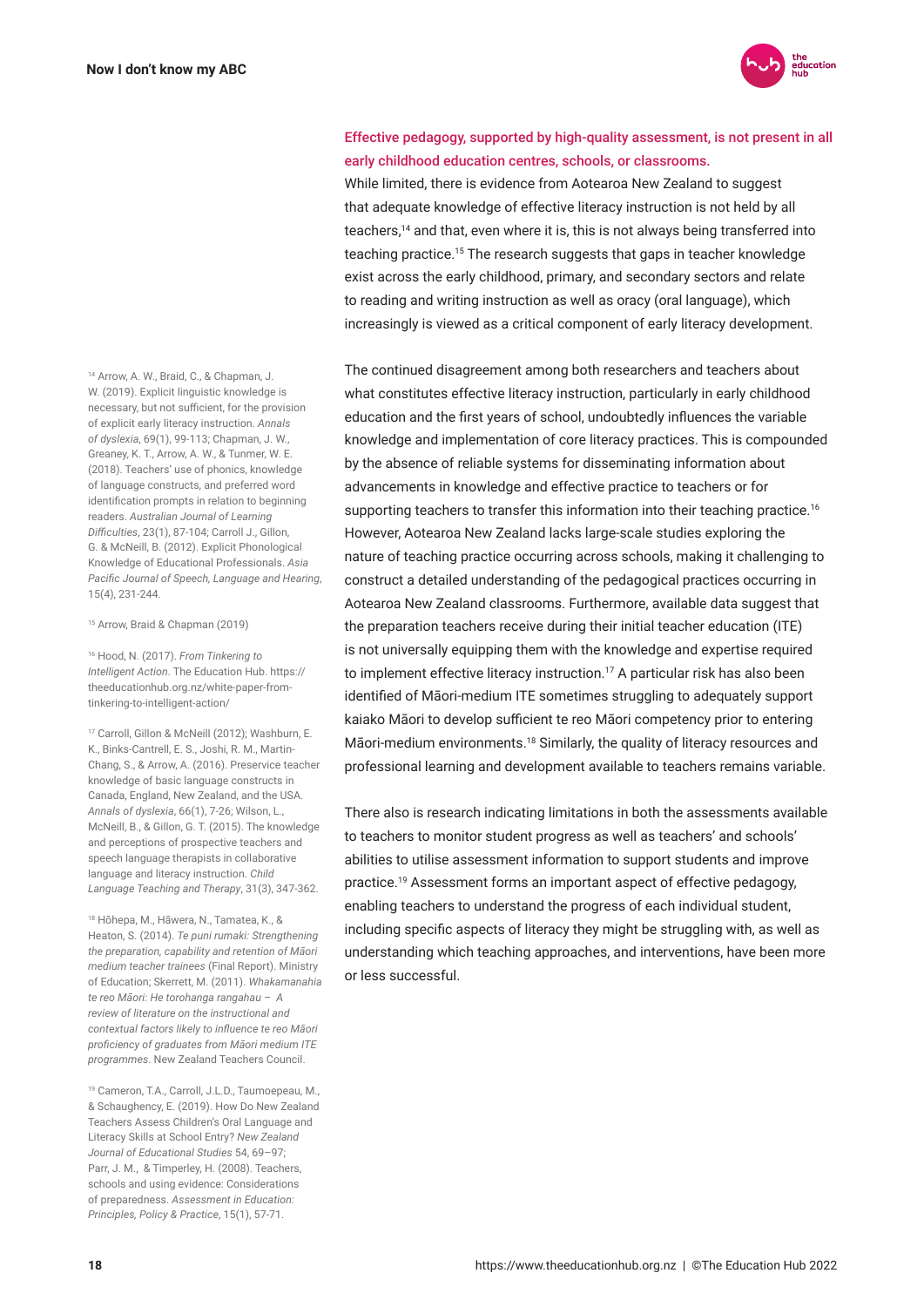

#### Effective pedagogy, supported by high-quality assessment, is not present in all early childhood education centres, schools, or classrooms.

While limited, there is evidence from Aotearoa New Zealand to suggest that adequate knowledge of effective literacy instruction is not held by all teachers,<sup>14</sup> and that, even where it is, this is not always being transferred into teaching practice.<sup>15</sup> The research suggests that gaps in teacher knowledge exist across the early childhood, primary, and secondary sectors and relate to reading and writing instruction as well as oracy (oral language), which increasingly is viewed as a critical component of early literacy development.

The continued disagreement among both researchers and teachers about what constitutes effective literacy instruction, particularly in early childhood education and the first years of school, undoubtedly influences the variable knowledge and implementation of core literacy practices. This is compounded by the absence of reliable systems for disseminating information about advancements in knowledge and effective practice to teachers or for supporting teachers to transfer this information into their teaching practice.<sup>16</sup> However, Aotearoa New Zealand lacks large-scale studies exploring the nature of teaching practice occurring across schools, making it challenging to construct a detailed understanding of the pedagogical practices occurring in Aotearoa New Zealand classrooms. Furthermore, available data suggest that the preparation teachers receive during their initial teacher education (ITE) is not universally equipping them with the knowledge and expertise required to implement effective literacy instruction.<sup>17</sup> A particular risk has also been identified of Māori-medium ITE sometimes struggling to adequately support kaiako Māori to develop sufficient te reo Māori competency prior to entering Māori-medium environments.<sup>18</sup> Similarly, the quality of literacy resources and professional learning and development available to teachers remains variable.

There also is research indicating limitations in both the assessments available to teachers to monitor student progress as well as teachers' and schools' abilities to utilise assessment information to support students and improve practice.<sup>19</sup> Assessment forms an important aspect of effective pedagogy, enabling teachers to understand the progress of each individual student, including specific aspects of literacy they might be struggling with, as well as understanding which teaching approaches, and interventions, have been more or less successful.

<sup>14</sup> Arrow, A. W., Braid, C., & Chapman, J. W. (2019). Explicit linguistic knowledge is necessary, but not sufficient, for the provision of explicit early literacy instruction. *Annals of dyslexia*, 69(1), 99-113; Chapman, J. W., Greaney, K. T., Arrow, A. W., & Tunmer, W. F. (2018). Teachers' use of phonics, knowledge of language constructs, and preferred word identification prompts in relation to beginning readers. *Australian Journal of Learning Difficulties*, 23(1), 87-104; Carroll J., Gillon, G. & McNeill, B. (2012). Explicit Phonological Knowledge of Educational Professionals. *Asia Pacific Journal of Speech, Language and Hearing*, 15(4), 231-244.

<sup>15</sup> Arrow, Braid & Chapman (2019)

<sup>16</sup> Hood, N. (2017). *From Tinkering to Intelligent Action*. The Education Hub. [https://](https://theeducationhub.org.nz/white-paper-from-tinkering-to-intelligent-action/) [theeducationhub.org.nz/white-paper-from](https://theeducationhub.org.nz/white-paper-from-tinkering-to-intelligent-action/)[tinkering-to-intelligent-action/](https://theeducationhub.org.nz/white-paper-from-tinkering-to-intelligent-action/)

17 Carroll, Gillon & McNeill (2012); Washburn, E. K., Binks-Cantrell, E. S., Joshi, R. M., Martin-Chang, S., & Arrow, A. (2016). Preservice teacher knowledge of basic language constructs in Canada, England, New Zealand, and the USA. *Annals of dyslexia*, 66(1), 7-26; Wilson, L., McNeill, B., & Gillon, G. T. (2015). The knowledge and perceptions of prospective teachers and speech language therapists in collaborative language and literacy instruction. *Child Language Teaching and Therapy*, 31(3), 347-362.

<sup>18</sup> Hōhepa, M., Hāwera, N., Tamatea, K., & Heaton, S. (2014). *Te puni rumaki: Strengthening the preparation, capability and retention of Māori medium teacher trainees* (Final Report). Ministry of Education; Skerrett, M. (2011). *Whakamanahia te reo Māori: He torohanga rangahau – A review of literature on the instructional and contextual factors likely to influence te reo Māori proficiency of graduates from Māori medium ITE programmes*. New Zealand Teachers Council.

<sup>19</sup> Cameron, T.A., Carroll, J.L.D., Taumoepeau, M., & Schaughency, E. (2019). How Do New Zealand Teachers Assess Children's Oral Language and Literacy Skills at School Entry? *New Zealand Journal of Educational Studies* 54, 69–97; Parr, J. M., & Timperley, H. (2008). Teachers, schools and using evidence: Considerations of preparedness. *Assessment in Education: Principles, Policy & Practice*, 15(1), 57-71.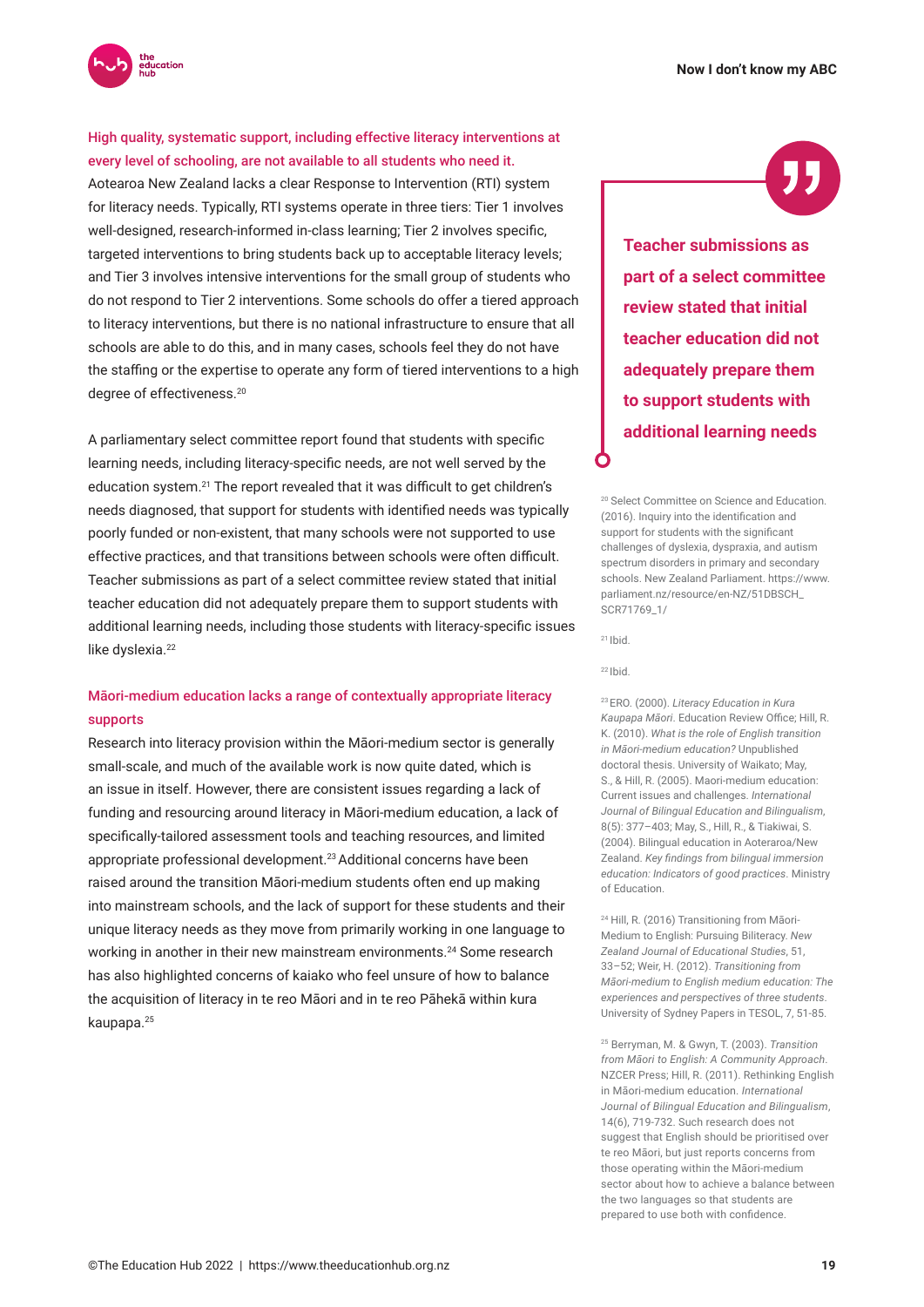

#### High quality, systematic support, including effective literacy interventions at every level of schooling, are not available to all students who need it.

Aotearoa New Zealand lacks a clear Response to Intervention (RTI) system for literacy needs. Typically, RTI systems operate in three tiers: Tier 1 involves well-designed, research-informed in-class learning; Tier 2 involves specific, targeted interventions to bring students back up to acceptable literacy levels; and Tier 3 involves intensive interventions for the small group of students who do not respond to Tier 2 interventions. Some schools do offer a tiered approach to literacy interventions, but there is no national infrastructure to ensure that all schools are able to do this, and in many cases, schools feel they do not have the staffing or the expertise to operate any form of tiered interventions to a high degree of effectiveness.<sup>20</sup>

A parliamentary select committee report found that students with specific learning needs, including literacy-specific needs, are not well served by the education system.<sup>21</sup> The report revealed that it was difficult to get children's needs diagnosed, that support for students with identified needs was typically poorly funded or non-existent, that many schools were not supported to use effective practices, and that transitions between schools were often difficult. Teacher submissions as part of a select committee review stated that initial teacher education did not adequately prepare them to support students with additional learning needs, including those students with literacy-specific issues like dyslexia.<sup>22</sup>

#### Māori-medium education lacks a range of contextually appropriate literacy supports

Research into literacy provision within the Māori-medium sector is generally small-scale, and much of the available work is now quite dated, which is an issue in itself. However, there are consistent issues regarding a lack of funding and resourcing around literacy in Māori-medium education, a lack of specifically-tailored assessment tools and teaching resources, and limited appropriate professional development.<sup>23</sup> Additional concerns have been raised around the transition Māori-medium students often end up making into mainstream schools, and the lack of support for these students and their unique literacy needs as they move from primarily working in one language to working in another in their new mainstream environments.<sup>24</sup> Some research has also highlighted concerns of kaiako who feel unsure of how to balance the acquisition of literacy in te reo Māori and in te reo Pāhekā within kura kaupapa.<sup>25</sup>



**Teacher submissions as part of a select committee review stated that initial teacher education did not adequately prepare them to support students with additional learning needs**

<sup>20</sup> Select Committee on Science and Education. (2016). Inquiry into the identification and support for students with the significant challenges of dyslexia, dyspraxia, and autism spectrum disorders in primary and secondary schools. New Zealand Parliament. [https://www.](https://www.parliament.nz/resource/en-NZ/51DBSCH_SCR71769_1/) [parliament.nz/resource/en-NZ/51DBSCH\\_](https://www.parliament.nz/resource/en-NZ/51DBSCH_SCR71769_1/) [SCR71769\\_1/](https://www.parliament.nz/resource/en-NZ/51DBSCH_SCR71769_1/)

 $21$  Ibid.

 $22$  Ibid.

<sup>23</sup>ERO. (2000). *Literacy Education in Kura Kaupapa Māori*. Education Review Office; Hill, R. K. (2010). *What is the role of English transition in Māori-medium education?* Unpublished doctoral thesis. University of Waikato; May, S., & Hill, R. (2005). Maori-medium education: Current issues and challenges. *International Journal of Bilingual Education and Bilingualism*, 8(5): 377–403; May, S., Hill, R., & Tiakiwai, S. (2004). Bilingual education in Aoteraroa/New Zealand. *Key findings from bilingual immersion education: Indicators of good practices*. Ministry of Education.

24 Hill, R. (2016) Transitioning from Māori-Medium to English: Pursuing Biliteracy. *New Zealand Journal of Educational Studies*, 51, 33–52; Weir, H. (2012). *Transitioning from Māori-medium to English medium education: The experiences and perspectives of three students*. University of Sydney Papers in TESOL, 7, 51-85.

<sup>25</sup> Berryman, M. & Gwyn, T. (2003). *Transition from Māori to English: A Community Approach*. NZCER Press; Hill, R. (2011). Rethinking English in Māori-medium education. *International Journal of Bilingual Education and Bilingualism*, 14(6), 719-732. Such research does not suggest that English should be prioritised over te reo Māori, but just reports concerns from those operating within the Māori-medium sector about how to achieve a balance between the two languages so that students are prepared to use both with confidence.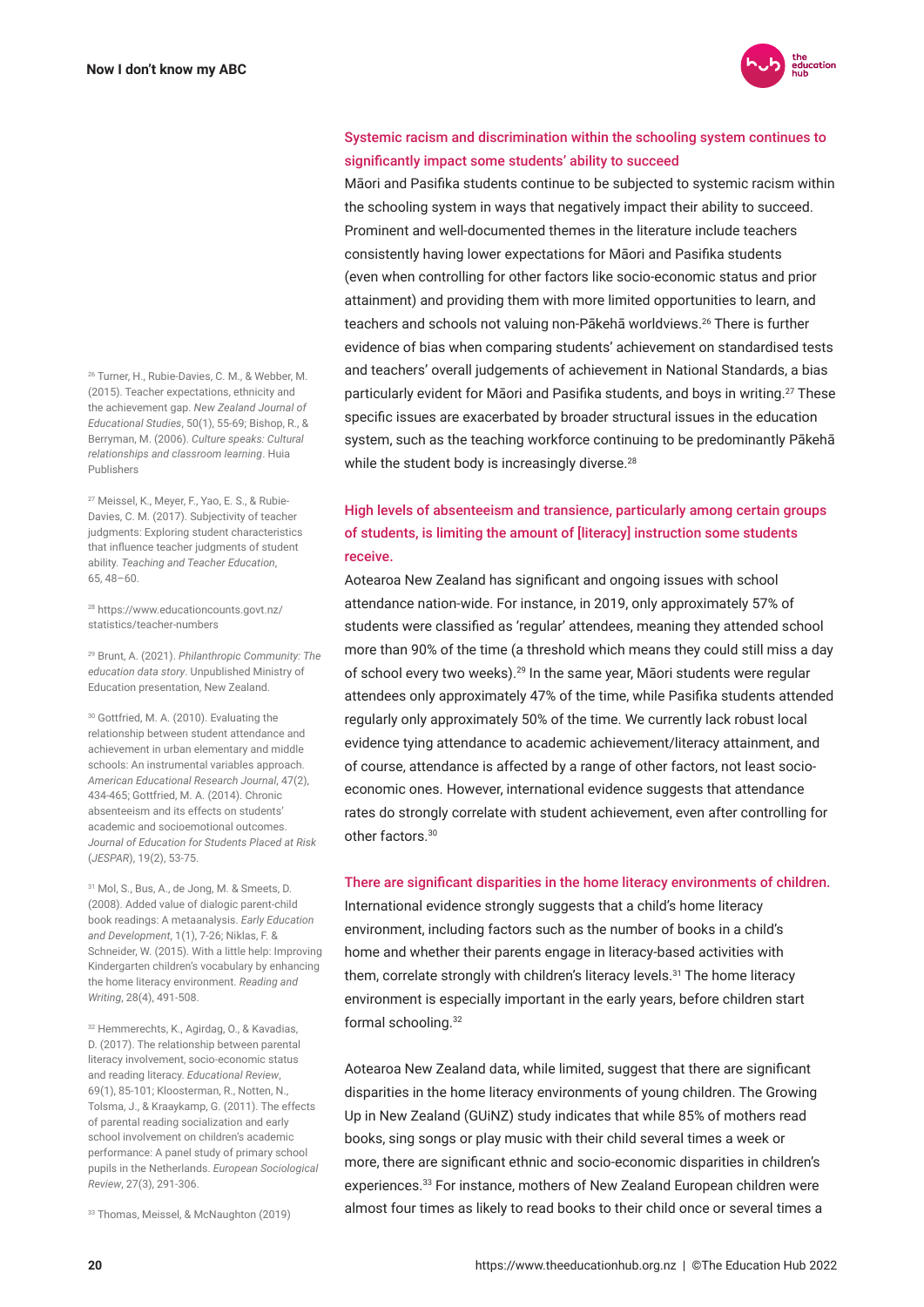

#### Systemic racism and discrimination within the schooling system continues to significantly impact some students' ability to succeed

Māori and Pasifika students continue to be subjected to systemic racism within the schooling system in ways that negatively impact their ability to succeed. Prominent and well-documented themes in the literature include teachers consistently having lower expectations for Māori and Pasifika students (even when controlling for other factors like socio-economic status and prior attainment) and providing them with more limited opportunities to learn, and teachers and schools not valuing non-Pākehā worldviews.<sup>26</sup> There is further evidence of bias when comparing students' achievement on standardised tests and teachers' overall judgements of achievement in National Standards, a bias particularly evident for Māori and Pasifika students, and boys in writing.<sup>27</sup> These specific issues are exacerbated by broader structural issues in the education system, such as the teaching workforce continuing to be predominantly Pākehā while the student body is increasingly diverse.<sup>28</sup>

#### High levels of absenteeism and transience, particularly among certain groups of students, is limiting the amount of [literacy] instruction some students receive.

Aotearoa New Zealand has significant and ongoing issues with school attendance nation-wide. For instance, in 2019, only approximately 57% of students were classified as 'regular' attendees, meaning they attended school more than 90% of the time (a threshold which means they could still miss a day of school every two weeks).<sup>29</sup> In the same year, Māori students were regular attendees only approximately 47% of the time, while Pasifika students attended regularly only approximately 50% of the time. We currently lack robust local evidence tying attendance to academic achievement/literacy attainment, and of course, attendance is affected by a range of other factors, not least socioeconomic ones. However, international evidence suggests that attendance rates do strongly correlate with student achievement, even after controlling for other factors.<sup>30</sup>

#### There are significant disparities in the home literacy environments of children.

International evidence strongly suggests that a child's home literacy environment, including factors such as the number of books in a child's home and whether their parents engage in literacy-based activities with them, correlate strongly with children's literacy levels.<sup>31</sup> The home literacy environment is especially important in the early years, before children start formal schooling.<sup>32</sup>

Aotearoa New Zealand data, while limited, suggest that there are significant disparities in the home literacy environments of young children. The Growing Up in New Zealand (GUiNZ) study indicates that while 85% of mothers read books, sing songs or play music with their child several times a week or more, there are significant ethnic and socio-economic disparities in children's experiences.<sup>33</sup> For instance, mothers of New Zealand European children were almost four times as likely to read books to their child once or several times a

<sup>26</sup> Turner, H., Rubie-Davies, C. M., & Webber, M. (2015). Teacher expectations, ethnicity and the achievement gap. *New Zealand Journal of Educational Studies*, 50(1), 55-69; Bishop, R., & Berryman, M. (2006). *Culture speaks: Cultural relationships and classroom learning*. Huia Publishers

27 Meissel, K., Meyer, F., Yao, E. S., & Rubie-Davies, C. M. (2017). Subjectivity of teacher judgments: Exploring student characteristics that influence teacher judgments of student ability. *Teaching and Teacher Education*, 65, 48–60.

<sup>28</sup> [https://www.educationcounts.govt.nz/](https://www.educationcounts.govt.nz/statistics/teacher-numbers) [statistics/teacher-numbers](https://www.educationcounts.govt.nz/statistics/teacher-numbers)

<sup>29</sup> Brunt, A. (2021). *Philanthropic Community: The education data story*. Unpublished Ministry of Education presentation, New Zealand.

<sup>30</sup> Gottfried, M. A. (2010). Evaluating the relationship between student attendance and achievement in urban elementary and middle schools: An instrumental variables approach. *American Educational Research Journal*, 47(2), 434-465; Gottfried, M. A. (2014). Chronic absenteeism and its effects on students' academic and socioemotional outcomes. *Journal of Education for Students Placed at Risk*  (*JESPAR*), 19(2), 53-75.

<sup>31</sup> Mol, S., Bus, A., de Jong, M. & Smeets, D. (2008). Added value of dialogic parent-child book readings: A metaanalysis. *Early Education and Development*, 1(1), 7-26; Niklas, F. & Schneider, W. (2015). With a little help: Improving Kindergarten children's vocabulary by enhancing the home literacy environment. *Reading and Writing*, 28(4), 491-508.

<sup>32</sup> Hemmerechts, K., Agirdag, O., & Kavadias, D. (2017). The relationship between parental literacy involvement, socio-economic status and reading literacy. *Educational Review*, 69(1), 85-101; Kloosterman, R., Notten, N., Tolsma, J., & Kraaykamp, G. (2011). The effects of parental reading socialization and early school involvement on children's academic performance: A panel study of primary school pupils in the Netherlands. *European Sociological Review*, 27(3), 291-306.

33 Thomas, Meissel, & McNaughton (2019)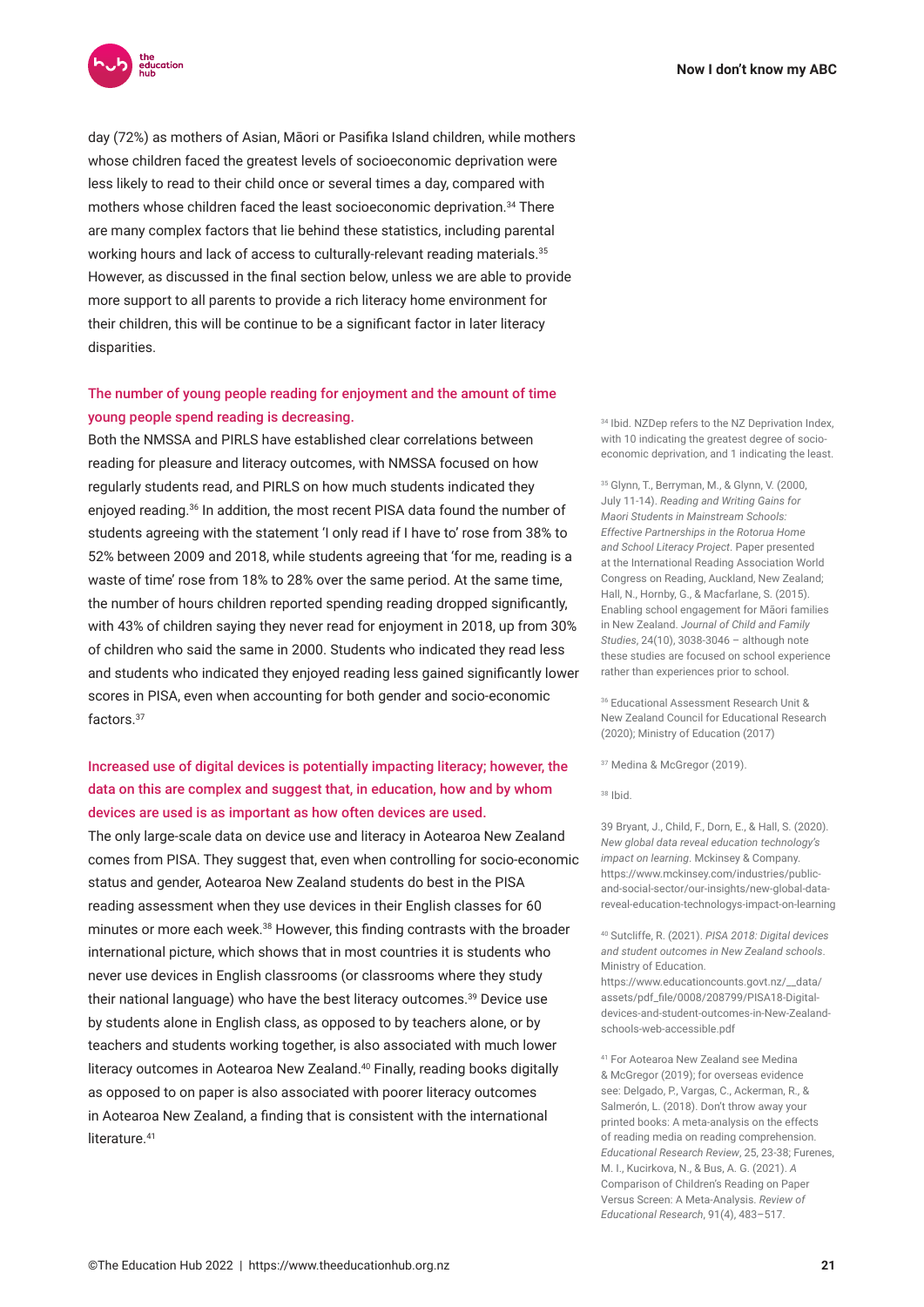day (72%) as mothers of Asian, Māori or Pasifika Island children, while mothers whose children faced the greatest levels of socioeconomic deprivation were less likely to read to their child once or several times a day, compared with mothers whose children faced the least socioeconomic deprivation.<sup>34</sup> There are many complex factors that lie behind these statistics, including parental working hours and lack of access to culturally-relevant reading materials.<sup>35</sup> However, as discussed in the final section below, unless we are able to provide more support to all parents to provide a rich literacy home environment for their children, this will be continue to be a significant factor in later literacy disparities.

#### The number of young people reading for enjoyment and the amount of time young people spend reading is decreasing.

Both the NMSSA and PIRLS have established clear correlations between reading for pleasure and literacy outcomes, with NMSSA focused on how regularly students read, and PIRLS on how much students indicated they enjoyed reading.<sup>36</sup> In addition, the most recent PISA data found the number of students agreeing with the statement 'I only read if I have to' rose from 38% to 52% between 2009 and 2018, while students agreeing that 'for me, reading is a waste of time' rose from 18% to 28% over the same period. At the same time, the number of hours children reported spending reading dropped significantly, with 43% of children saying they never read for enjoyment in 2018, up from 30% of children who said the same in 2000. Students who indicated they read less and students who indicated they enjoyed reading less gained significantly lower scores in PISA, even when accounting for both gender and socio-economic factors.<sup>37</sup>

#### Increased use of digital devices is potentially impacting literacy; however, the data on this are complex and suggest that, in education, how and by whom devices are used is as important as how often devices are used.

The only large-scale data on device use and literacy in Aotearoa New Zealand comes from PISA. They suggest that, even when controlling for socio-economic status and gender, Aotearoa New Zealand students do best in the PISA reading assessment when they use devices in their English classes for 60 minutes or more each week.<sup>38</sup> However, this finding contrasts with the broader international picture, which shows that in most countries it is students who never use devices in English classrooms (or classrooms where they study their national language) who have the best literacy outcomes.<sup>39</sup> Device use by students alone in English class, as opposed to by teachers alone, or by teachers and students working together, is also associated with much lower literacy outcomes in Aotearoa New Zealand.<sup>40</sup> Finally, reading books digitally as opposed to on paper is also associated with poorer literacy outcomes in Aotearoa New Zealand, a finding that is consistent with the international literature.<sup>41</sup>

<sup>34</sup> Ibid. NZDep refers to the NZ Deprivation Index, with 10 indicating the greatest degree of socioeconomic deprivation, and 1 indicating the least.

<sup>35</sup> Glynn, T., Berryman, M., & Glynn, V. (2000, July 11-14). *Reading and Writing Gains for Maori Students in Mainstream Schools: Effective Partnerships in the Rotorua Home and School Literacy Project*. Paper presented at the International Reading Association World Congress on Reading, Auckland, New Zealand; Hall, N., Hornby, G., & Macfarlane, S. (2015). Enabling school engagement for Māori families in New Zealand. *Journal of Child and Family Studies*, 24(10), 3038-3046 – although note these studies are focused on school experience rather than experiences prior to school.

<sup>36</sup> Educational Assessment Research Unit & New Zealand Council for Educational Research (2020); Ministry of Education (2017)

<sup>37</sup> Medina & McGregor (2019).

<sup>38</sup> Ibid.

39 Bryant, J., Child, F., Dorn, E., & Hall, S. (2020). *New global data reveal education technology's impact on learning*. Mckinsey & [Company.](Company.https://www.mckinsey.com/industries/public-and-social-sector/our-insights/new-global-data-reveal-education-technologys-impact-on-learning) [https://www.mckinsey.com/industries/public](Company.https://www.mckinsey.com/industries/public-and-social-sector/our-insights/new-global-data-reveal-education-technologys-impact-on-learning)[and-social-sector/our-insights/new-global-data](Company.https://www.mckinsey.com/industries/public-and-social-sector/our-insights/new-global-data-reveal-education-technologys-impact-on-learning)[reveal-education-technologys-impact-on-learning](Company.https://www.mckinsey.com/industries/public-and-social-sector/our-insights/new-global-data-reveal-education-technologys-impact-on-learning)

<sup>40</sup> Sutcliffe, R. (2021). *PISA 2018: Digital devices and student outcomes in New Zealand schools*. Ministry of Education.

[https://www.educationcounts.govt.nz/\\_\\_data/](https://www.educationcounts.govt.nz/__data/assets/pdf_file/0008/208799/PISA18-Digital-devices-and-student-outcomes-in-New-Zealand-schools-web-accessible.pdf) [assets/pdf\\_file/0008/208799/PISA18-Digital](https://www.educationcounts.govt.nz/__data/assets/pdf_file/0008/208799/PISA18-Digital-devices-and-student-outcomes-in-New-Zealand-schools-web-accessible.pdf)[devices-and-student-outcomes-in-New-Zealand](https://www.educationcounts.govt.nz/__data/assets/pdf_file/0008/208799/PISA18-Digital-devices-and-student-outcomes-in-New-Zealand-schools-web-accessible.pdf)[schools-web-accessible.pdf](https://www.educationcounts.govt.nz/__data/assets/pdf_file/0008/208799/PISA18-Digital-devices-and-student-outcomes-in-New-Zealand-schools-web-accessible.pdf)

<sup>41</sup> For Aotearoa New Zealand see Medina & McGregor (2019); for overseas evidence see: Delgado, P., Vargas, C., Ackerman, R., & Salmerón, L. (2018). Don't throw away your printed books: A meta-analysis on the effects of reading media on reading comprehension. *Educational Research Review*, 25, 23-38; Furenes, M. I., Kucirkova, N., & Bus, A. G. (2021). *A*  Comparison of Children's Reading on Paper Versus Screen: A Meta-Analysis. *Review of Educational Research*, 91(4), 483–517.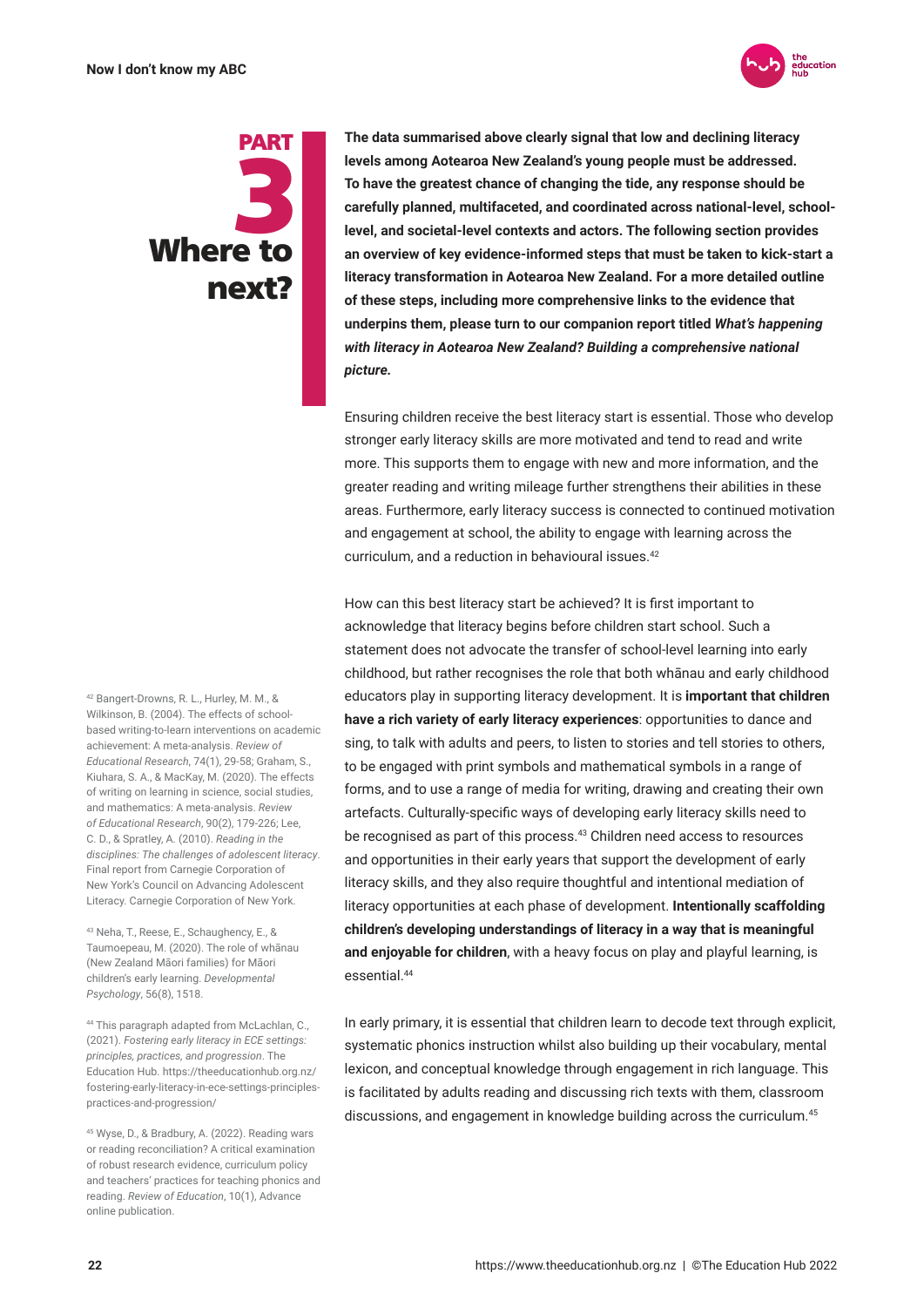

## PART **3**<br>Where to next?

**The data summarised above clearly signal that low and declining literacy levels among Aotearoa New Zealand's young people must be addressed. To have the greatest chance of changing the tide, any response should be carefully planned, multifaceted, and coordinated across national-level, schoollevel, and societal-level contexts and actors. The following section provides an overview of key evidence-informed steps that must be taken to kick-start a literacy transformation in Aotearoa New Zealand. For a more detailed outline of these steps, including more comprehensive links to the evidence that underpins them, please turn to our companion report titled** *What's happening with literacy in Aotearoa New Zealand? Building a comprehensive national picture.* 

Ensuring children receive the best literacy start is essential. Those who develop stronger early literacy skills are more motivated and tend to read and write more. This supports them to engage with new and more information, and the greater reading and writing mileage further strengthens their abilities in these areas. Furthermore, early literacy success is connected to continued motivation and engagement at school, the ability to engage with learning across the curriculum, and a reduction in behavioural issues.<sup>42</sup>

How can this best literacy start be achieved? It is first important to acknowledge that literacy begins before children start school. Such a statement does not advocate the transfer of school-level learning into early childhood, but rather recognises the role that both whānau and early childhood educators play in supporting literacy development. It is **important that children have a rich variety of early literacy experiences**: opportunities to dance and sing, to talk with adults and peers, to listen to stories and tell stories to others, to be engaged with print symbols and mathematical symbols in a range of forms, and to use a range of media for writing, drawing and creating their own artefacts. Culturally-specific ways of developing early literacy skills need to be recognised as part of this process.<sup>43</sup> Children need access to resources and opportunities in their early years that support the development of early literacy skills, and they also require thoughtful and intentional mediation of literacy opportunities at each phase of development. **Intentionally scaffolding children's developing understandings of literacy in a way that is meaningful and enjoyable for children**, with a heavy focus on play and playful learning, is essential.<sup>44</sup>

In early primary, it is essential that children learn to decode text through explicit, systematic phonics instruction whilst also building up their vocabulary, mental lexicon, and conceptual knowledge through engagement in rich language. This is facilitated by adults reading and discussing rich texts with them, classroom discussions, and engagement in knowledge building across the curriculum.<sup>45</sup>

<sup>42</sup> Bangert-Drowns, R. L., Hurley, M. M., & Wilkinson, B. (2004). The effects of schoolbased writing-to-learn interventions on academic achievement: A meta-analysis. *Review of Educational Research*, 74(1), 29-58; Graham, S., Kiuhara, S. A., & MacKay, M. (2020). The effects of writing on learning in science, social studies, and mathematics: A meta-analysis. *Review of Educational Research*, 90(2), 179-226; Lee, C. D., & Spratley, A. (2010). *Reading in the disciplines: The challenges of adolescent literacy*. Final report from Carnegie Corporation of New York's Council on Advancing Adolescent Literacy. Carnegie Corporation of New York.

<sup>43</sup> Neha, T., Reese, E., Schaughency, E., & Taumoepeau, M. (2020). The role of whānau (New Zealand Māori families) for Māori children's early learning. *Developmental Psychology*, 56(8), 1518.

<sup>44</sup> This paragraph adapted from McLachlan, C., (2021). *Fostering early literacy in ECE settings: principles, practices, and progression*. The Education Hub. [https://theeducationhub.org.nz/](https://theeducationhub.org.nz/fostering-early-literacy-in-ece-settings-principles-practices-and-progression/) [fostering-early-literacy-in-ece-settings-principles](https://theeducationhub.org.nz/fostering-early-literacy-in-ece-settings-principles-practices-and-progression/)[practices-and-progression/](https://theeducationhub.org.nz/fostering-early-literacy-in-ece-settings-principles-practices-and-progression/)

<sup>45</sup> Wyse, D., & Bradbury, A. (2022). Reading wars or reading reconciliation? A critical examination of robust research evidence, curriculum policy and teachers' practices for teaching phonics and reading. *Review of Education*, 10(1), Advance online publication.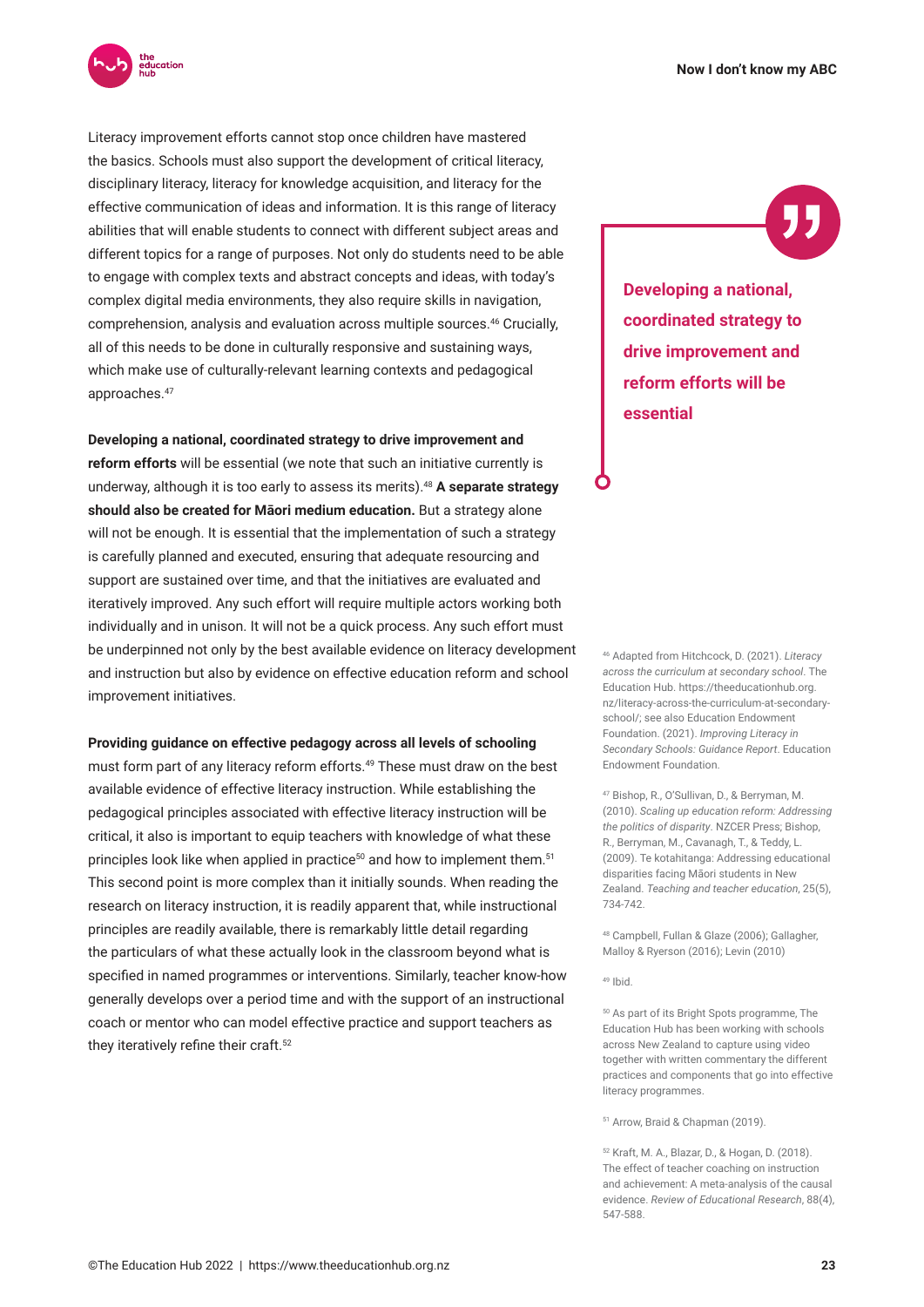

Literacy improvement efforts cannot stop once children have mastered the basics. Schools must also support the development of critical literacy, disciplinary literacy, literacy for knowledge acquisition, and literacy for the effective communication of ideas and information. It is this range of literacy abilities that will enable students to connect with different subject areas and different topics for a range of purposes. Not only do students need to be able to engage with complex texts and abstract concepts and ideas, with today's complex digital media environments, they also require skills in navigation, comprehension, analysis and evaluation across multiple sources.<sup>46</sup> Crucially, all of this needs to be done in culturally responsive and sustaining ways, which make use of culturally-relevant learning contexts and pedagogical approaches.<sup>47</sup>

**Developing a national, coordinated strategy to drive improvement and reform efforts** will be essential (we note that such an initiative currently is underway, although it is too early to assess its merits).<sup>48</sup> **A separate strategy should also be created for Māori medium education.** But a strategy alone will not be enough. It is essential that the implementation of such a strategy is carefully planned and executed, ensuring that adequate resourcing and support are sustained over time, and that the initiatives are evaluated and iteratively improved. Any such effort will require multiple actors working both individually and in unison. It will not be a quick process. Any such effort must be underpinned not only by the best available evidence on literacy development and instruction but also by evidence on effective education reform and school improvement initiatives.

#### **Providing guidance on effective pedagogy across all levels of schooling**

must form part of any literacy reform efforts.<sup>49</sup> These must draw on the best available evidence of effective literacy instruction. While establishing the pedagogical principles associated with effective literacy instruction will be critical, it also is important to equip teachers with knowledge of what these principles look like when applied in practice<sup>50</sup> and how to implement them.<sup>51</sup> This second point is more complex than it initially sounds. When reading the research on literacy instruction, it is readily apparent that, while instructional principles are readily available, there is remarkably little detail regarding the particulars of what these actually look in the classroom beyond what is specified in named programmes or interventions. Similarly, teacher know-how generally develops over a period time and with the support of an instructional coach or mentor who can model effective practice and support teachers as they iteratively refine their craft.<sup>52</sup>

**Developing a national, coordinated strategy to drive improvement and reform efforts will be essential**

<sup>46</sup> Adapted from Hitchcock, D. (2021). *Literacy across the curriculum at secondary school*. The Education Hub. [https://theeducationhub.org.](https://theeducationhub.org.nz/literacy-across-the-curriculum-at-secondary-school/) [nz/literacy-across-the-curriculum-at-secondary](https://theeducationhub.org.nz/literacy-across-the-curriculum-at-secondary-school/)[school/](https://theeducationhub.org.nz/literacy-across-the-curriculum-at-secondary-school/); see also Education Endowment Foundation. (2021). *Improving Literacy in Secondary Schools: Guidance Report*. Education Endowment Foundation.

<sup>47</sup> Bishop, R., O'Sullivan, D., & Berryman, M. (2010). *Scaling up education reform: Addressing the politics of disparity*. NZCER Press; Bishop, R., Berryman, M., Cavanagh, T., & Teddy, L. (2009). Te kotahitanga: Addressing educational disparities facing Māori students in New Zealand. *Teaching and teacher education*, 25(5), 734-742.

<sup>48</sup> Campbell, Fullan & Glaze (2006); Gallagher, Malloy & Ryerson (2016); Levin (2010)

#### <sup>49</sup> Ibid.

<sup>50</sup> As part of its Bright Spots programme, The Education Hub has been working with schools across New Zealand to capture using video together with written commentary the different practices and components that go into effective literacy programmes.

<sup>51</sup> Arrow, Braid & Chapman (2019).

<sup>52</sup> Kraft, M. A., Blazar, D., & Hogan, D. (2018). The effect of teacher coaching on instruction and achievement: A meta-analysis of the causal evidence. *Review of Educational Research*, 88(4), 547-588.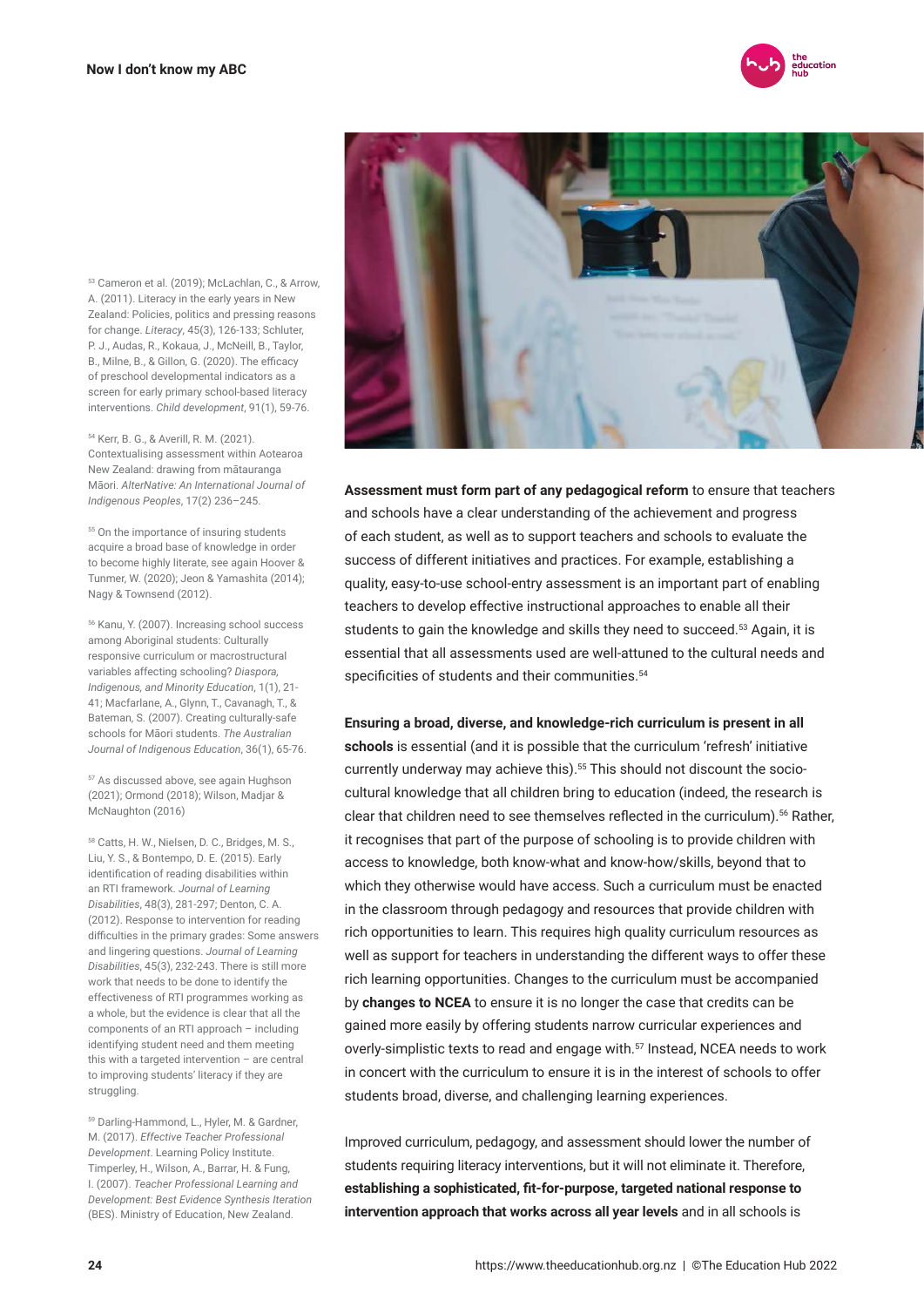

<sup>53</sup> Cameron et al. (2019); McLachlan, C., & Arrow, A. (2011). Literacy in the early years in New Zealand: Policies, politics and pressing reasons for change. *Literacy*, 45(3), 126-133; Schluter, P.J. Audas, R., Kokaua, J., McNeill, B., Taylor, B., Milne, B., & Gillon, G. (2020). The efficacy of preschool developmental indicators as a screen for early primary school-based literacy interventions. *Child development*, 91(1), 59-76.

<sup>54</sup> Kerr, B. G., & Averill, R. M. (2021). Contextualising assessment within Aotearoa New Zealand: drawing from mātauranga Māori. *AlterNative: An International Journal of Indigenous Peoples*, 17(2) 236–245.

<sup>55</sup> On the importance of insuring students acquire a broad base of knowledge in order to become highly literate, see again Hoover & Tunmer, W. (2020); Jeon & Yamashita (2014); Nagy & Townsend (2012).

<sup>56</sup> Kanu, Y. (2007). Increasing school success among Aboriginal students: Culturally responsive curriculum or macrostructural variables affecting schooling? *Diaspora, Indigenous, and Minority Education*, 1(1), 21- 41; Macfarlane, A., Glynn, T., Cavanagh, T., & Bateman, S. (2007). Creating culturally-safe schools for Māori students. *The Australian Journal of Indigenous Education*, 36(1), 65-76.

<sup>57</sup> As discussed above, see again Hughson (2021); Ormond (2018); Wilson, Madjar & McNaughton (2016)

<sup>58</sup> Catts, H. W., Nielsen, D. C., Bridges, M. S., Liu, Y. S., & Bontempo, D. E. (2015). Early identification of reading disabilities within an RTI framework. *Journal of Learning Disabilities*, 48(3), 281-297; Denton, C. A. (2012). Response to intervention for reading difficulties in the primary grades: Some answers and lingering questions. *Journal of Learning Disabilities*, 45(3), 232-243. There is still more work that needs to be done to identify the effectiveness of RTI programmes working as a whole, but the evidence is clear that all the components of an RTI approach – including identifying student need and them meeting this with a targeted intervention – are central to improving students' literacy if they are struggling.

<sup>59</sup> Darling-Hammond, L., Hyler, M. & Gardner, M. (2017). *Effective Teacher Professional Development*. Learning Policy Institute. Timperley, H., Wilson, A., Barrar, H. & Fung, I. (2007). *Teacher Professional Learning and Development: Best Evidence Synthesis Iteration* (BES). Ministry of Education, New Zealand.



**Assessment must form part of any pedagogical reform** to ensure that teachers and schools have a clear understanding of the achievement and progress of each student, as well as to support teachers and schools to evaluate the success of different initiatives and practices. For example, establishing a quality, easy-to-use school-entry assessment is an important part of enabling teachers to develop effective instructional approaches to enable all their students to gain the knowledge and skills they need to succeed.<sup>53</sup> Again, it is essential that all assessments used are well-attuned to the cultural needs and specificities of students and their communities.<sup>54</sup>

**Ensuring a broad, diverse, and knowledge-rich curriculum is present in all schools** is essential (and it is possible that the curriculum 'refresh' initiative currently underway may achieve this).<sup>55</sup> This should not discount the sociocultural knowledge that all children bring to education (indeed, the research is clear that children need to see themselves reflected in the curriculum).<sup>56</sup> Rather, it recognises that part of the purpose of schooling is to provide children with access to knowledge, both know-what and know-how/skills, beyond that to which they otherwise would have access. Such a curriculum must be enacted in the classroom through pedagogy and resources that provide children with rich opportunities to learn. This requires high quality curriculum resources as well as support for teachers in understanding the different ways to offer these rich learning opportunities. Changes to the curriculum must be accompanied by **changes to NCEA** to ensure it is no longer the case that credits can be gained more easily by offering students narrow curricular experiences and overly-simplistic texts to read and engage with.<sup>57</sup> Instead, NCEA needs to work in concert with the curriculum to ensure it is in the interest of schools to offer students broad, diverse, and challenging learning experiences.

Improved curriculum, pedagogy, and assessment should lower the number of students requiring literacy interventions, but it will not eliminate it. Therefore, **establishing a sophisticated, fit-for-purpose, targeted national response to intervention approach that works across all year levels** and in all schools is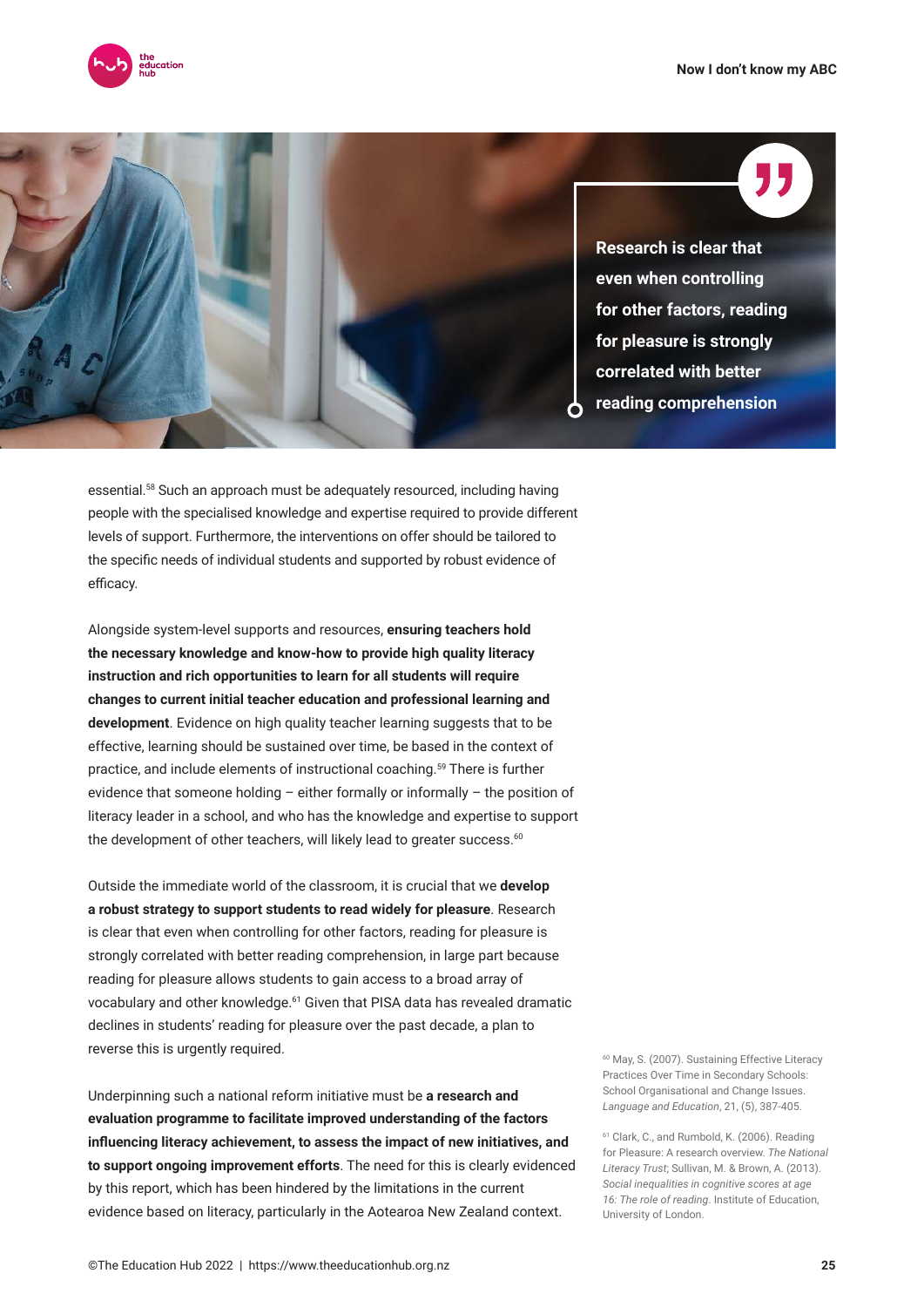



essential.<sup>58</sup> Such an approach must be adequately resourced, including having people with the specialised knowledge and expertise required to provide different levels of support. Furthermore, the interventions on offer should be tailored to the specific needs of individual students and supported by robust evidence of efficacy.

Alongside system-level supports and resources, **ensuring teachers hold the necessary knowledge and know-how to provide high quality literacy instruction and rich opportunities to learn for all students will require changes to current initial teacher education and professional learning and development**. Evidence on high quality teacher learning suggests that to be effective, learning should be sustained over time, be based in the context of practice, and include elements of instructional coaching.<sup>59</sup> There is further evidence that someone holding – either formally or informally – the position of literacy leader in a school, and who has the knowledge and expertise to support the development of other teachers, will likely lead to greater success.<sup>60</sup>

Outside the immediate world of the classroom, it is crucial that we **develop a robust strategy to support students to read widely for pleasure**. Research is clear that even when controlling for other factors, reading for pleasure is strongly correlated with better reading comprehension, in large part because reading for pleasure allows students to gain access to a broad array of vocabulary and other knowledge.<sup>61</sup> Given that PISA data has revealed dramatic declines in students' reading for pleasure over the past decade, a plan to reverse this is urgently required.

Underpinning such a national reform initiative must be **a research and evaluation programme to facilitate improved understanding of the factors influencing literacy achievement, to assess the impact of new initiatives, and to support ongoing improvement efforts**. The need for this is clearly evidenced by this report, which has been hindered by the limitations in the current evidence based on literacy, particularly in the Aotearoa New Zealand context.

<sup>60</sup> May, S. (2007). Sustaining Effective Literacy Practices Over Time in Secondary Schools: School Organisational and Change Issues. *Language and Education*, 21, (5), 387-405.

<sup>61</sup> Clark, C., and Rumbold, K. (2006). Reading for Pleasure: A research overview. *The National Literacy Trust*; Sullivan, M. & Brown, A. (2013). *Social inequalities in cognitive scores at age 16: The role of reading*. Institute of Education, University of London.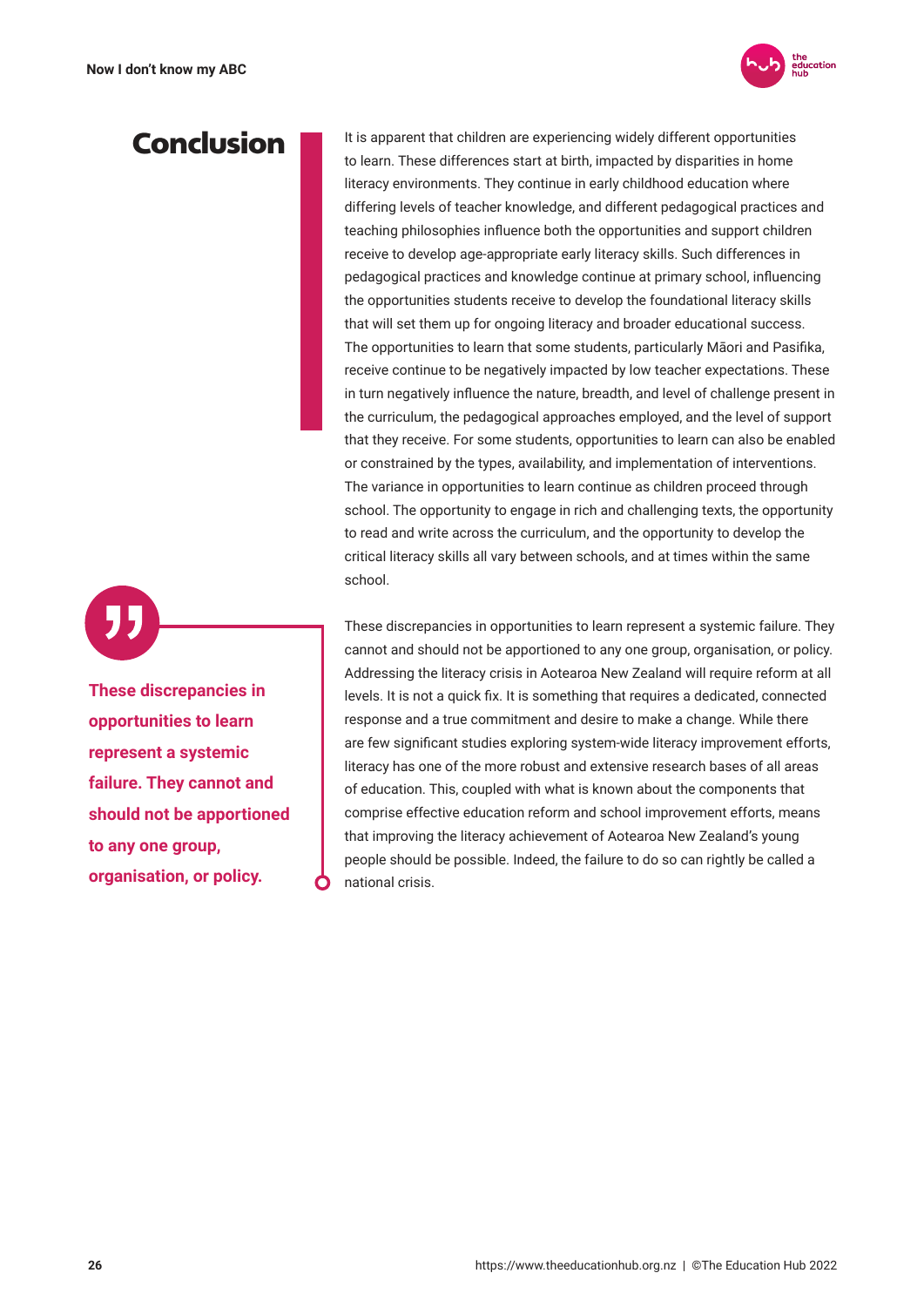

#### Conclusion

It is apparent that children are experiencing widely different opportunities to learn. These differences start at birth, impacted by disparities in home literacy environments. They continue in early childhood education where differing levels of teacher knowledge, and different pedagogical practices and teaching philosophies influence both the opportunities and support children receive to develop age-appropriate early literacy skills. Such differences in pedagogical practices and knowledge continue at primary school, influencing the opportunities students receive to develop the foundational literacy skills that will set them up for ongoing literacy and broader educational success. The opportunities to learn that some students, particularly Māori and Pasifika, receive continue to be negatively impacted by low teacher expectations. These in turn negatively influence the nature, breadth, and level of challenge present in the curriculum, the pedagogical approaches employed, and the level of support that they receive. For some students, opportunities to learn can also be enabled or constrained by the types, availability, and implementation of interventions. The variance in opportunities to learn continue as children proceed through school. The opportunity to engage in rich and challenging texts, the opportunity to read and write across the curriculum, and the opportunity to develop the critical literacy skills all vary between schools, and at times within the same school.



**These discrepancies in opportunities to learn represent a systemic failure. They cannot and should not be apportioned to any one group, organisation, or policy.** 

These discrepancies in opportunities to learn represent a systemic failure. They cannot and should not be apportioned to any one group, organisation, or policy. Addressing the literacy crisis in Aotearoa New Zealand will require reform at all levels. It is not a quick fix. It is something that requires a dedicated, connected response and a true commitment and desire to make a change. While there are few significant studies exploring system-wide literacy improvement efforts, literacy has one of the more robust and extensive research bases of all areas of education. This, coupled with what is known about the components that comprise effective education reform and school improvement efforts, means that improving the literacy achievement of Aotearoa New Zealand's young people should be possible. Indeed, the failure to do so can rightly be called a national crisis.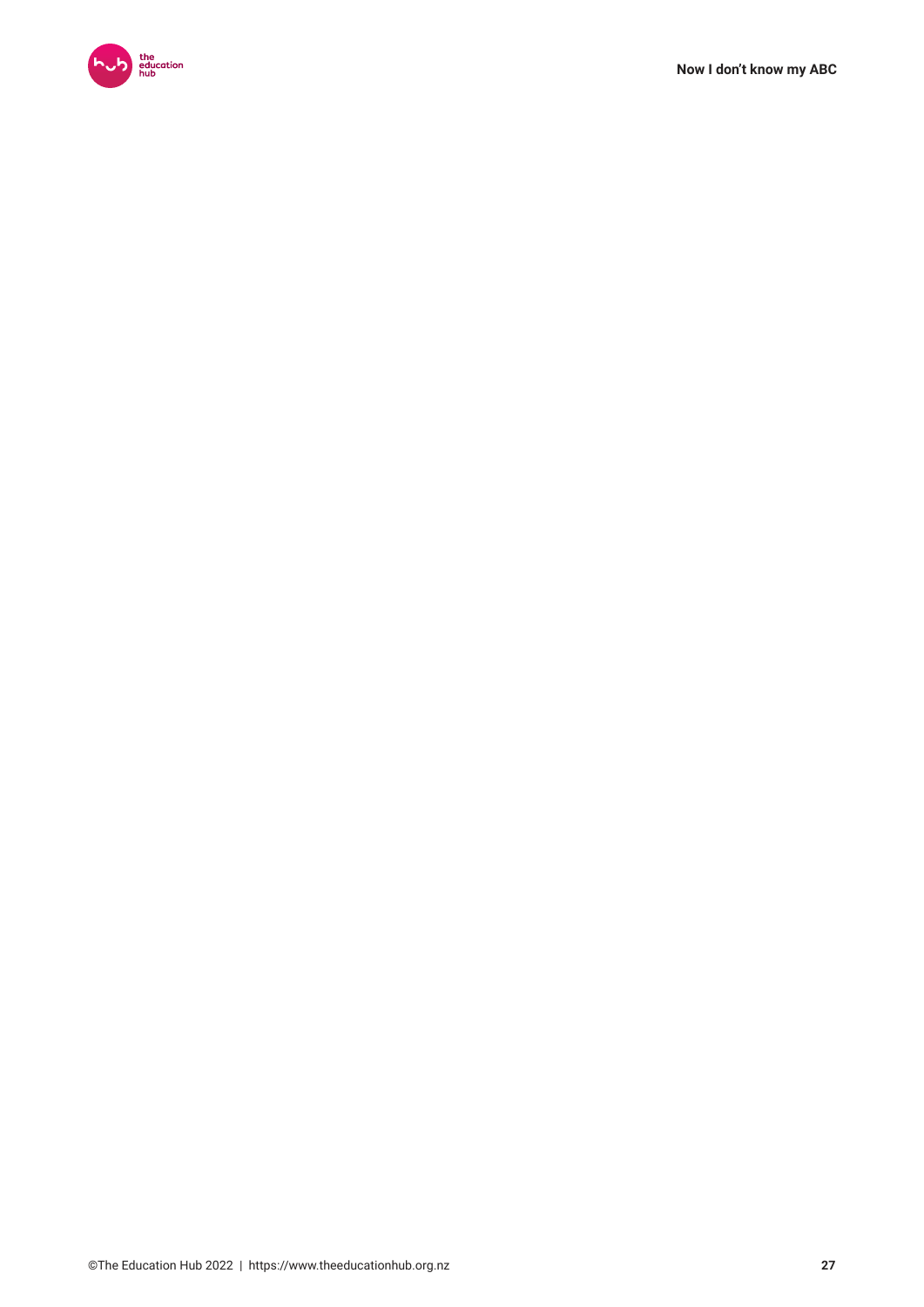